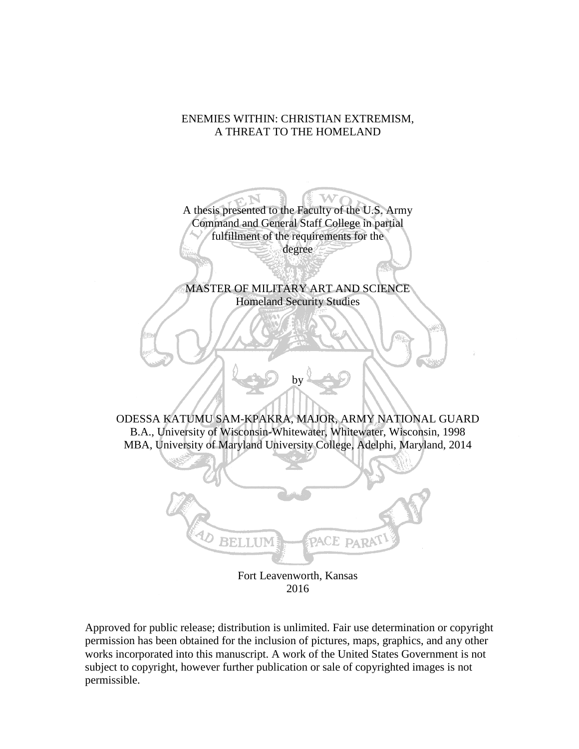# ENEMIES WITHIN: CHRISTIAN EXTREMISM, A THREAT TO THE HOMELAND



Fort Leavenworth, Kansas 2016

Approved for public release; distribution is unlimited. Fair use determination or copyright permission has been obtained for the inclusion of pictures, maps, graphics, and any other works incorporated into this manuscript. A work of the United States Government is not subject to copyright, however further publication or sale of copyrighted images is not permissible.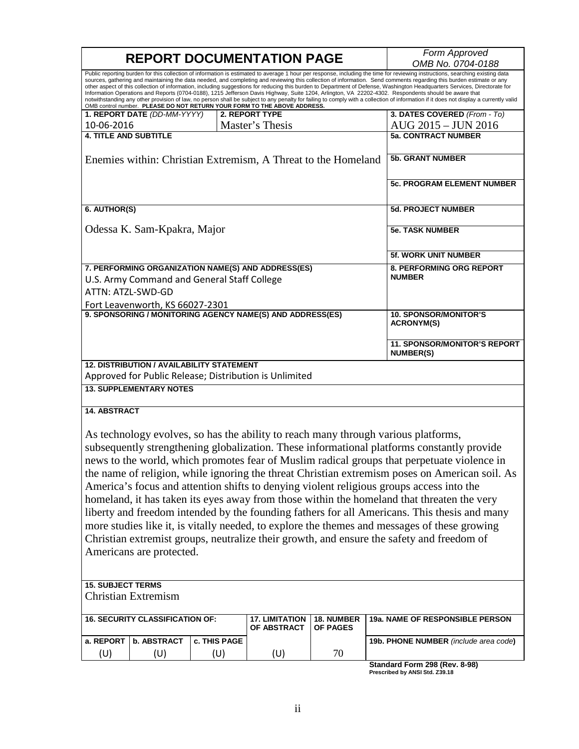| <b>REPORT DOCUMENTATION PAGE</b>                                                                                                                                                                                                                                                                                                                                                                                                                                                                                                                                                                                                                                                                                                                                                                                                                                                                                                                                  |              |                                      |                                                  | Form Approved<br>OMB No. 0704-0188                                                             |
|-------------------------------------------------------------------------------------------------------------------------------------------------------------------------------------------------------------------------------------------------------------------------------------------------------------------------------------------------------------------------------------------------------------------------------------------------------------------------------------------------------------------------------------------------------------------------------------------------------------------------------------------------------------------------------------------------------------------------------------------------------------------------------------------------------------------------------------------------------------------------------------------------------------------------------------------------------------------|--------------|--------------------------------------|--------------------------------------------------|------------------------------------------------------------------------------------------------|
| Public reporting burden for this collection of information is estimated to average 1 hour per response, including the time for reviewing instructions, searching existing data<br>sources, gathering and maintaining the data needed, and completing and reviewing this collection of information. Send comments regarding this burden estimate or any<br>other aspect of this collection of information, including suggestions for reducing this burden to Department of Defense, Washington Headquarters Services, Directorate for<br>Information Operations and Reports (0704-0188), 1215 Jefferson Davis Highway, Suite 1204, Arlington, VA 22202-4302. Respondents should be aware that<br>notwithstanding any other provision of law, no person shall be subject to any penalty for failing to comply with a collection of information if it does not display a currently valid<br>OMB control number. PLEASE DO NOT RETURN YOUR FORM TO THE ABOVE ADDRESS. |              |                                      |                                                  |                                                                                                |
| 1. REPORT DATE (DD-MM-YYYY)                                                                                                                                                                                                                                                                                                                                                                                                                                                                                                                                                                                                                                                                                                                                                                                                                                                                                                                                       |              | 2. REPORT TYPE                       |                                                  | 3. DATES COVERED (From - To)                                                                   |
| 10-06-2016                                                                                                                                                                                                                                                                                                                                                                                                                                                                                                                                                                                                                                                                                                                                                                                                                                                                                                                                                        |              | Master's Thesis                      |                                                  | AUG 2015 - JUN 2016                                                                            |
| <b>4. TITLE AND SUBTITLE</b>                                                                                                                                                                                                                                                                                                                                                                                                                                                                                                                                                                                                                                                                                                                                                                                                                                                                                                                                      |              |                                      | <b>5a. CONTRACT NUMBER</b>                       |                                                                                                |
| Enemies within: Christian Extremism, A Threat to the Homeland                                                                                                                                                                                                                                                                                                                                                                                                                                                                                                                                                                                                                                                                                                                                                                                                                                                                                                     |              |                                      | <b>5b. GRANT NUMBER</b>                          |                                                                                                |
|                                                                                                                                                                                                                                                                                                                                                                                                                                                                                                                                                                                                                                                                                                                                                                                                                                                                                                                                                                   |              |                                      |                                                  | <b>5c. PROGRAM ELEMENT NUMBER</b>                                                              |
| 6. AUTHOR(S)                                                                                                                                                                                                                                                                                                                                                                                                                                                                                                                                                                                                                                                                                                                                                                                                                                                                                                                                                      |              |                                      |                                                  | 5d. PROJECT NUMBER                                                                             |
| Odessa K. Sam-Kpakra, Major                                                                                                                                                                                                                                                                                                                                                                                                                                                                                                                                                                                                                                                                                                                                                                                                                                                                                                                                       |              |                                      | <b>5e. TASK NUMBER</b>                           |                                                                                                |
|                                                                                                                                                                                                                                                                                                                                                                                                                                                                                                                                                                                                                                                                                                                                                                                                                                                                                                                                                                   |              |                                      |                                                  | 5f. WORK UNIT NUMBER                                                                           |
| 7. PERFORMING ORGANIZATION NAME(S) AND ADDRESS(ES)<br>U.S. Army Command and General Staff College<br>ATTN: ATZL-SWD-GD                                                                                                                                                                                                                                                                                                                                                                                                                                                                                                                                                                                                                                                                                                                                                                                                                                            |              |                                      | <b>8. PERFORMING ORG REPORT</b><br><b>NUMBER</b> |                                                                                                |
| Fort Leavenworth, KS 66027-2301<br>9. SPONSORING / MONITORING AGENCY NAME(S) AND ADDRESS(ES)                                                                                                                                                                                                                                                                                                                                                                                                                                                                                                                                                                                                                                                                                                                                                                                                                                                                      |              |                                      |                                                  | <b>10. SPONSOR/MONITOR'S</b>                                                                   |
|                                                                                                                                                                                                                                                                                                                                                                                                                                                                                                                                                                                                                                                                                                                                                                                                                                                                                                                                                                   |              |                                      |                                                  | <b>ACRONYM(S)</b>                                                                              |
|                                                                                                                                                                                                                                                                                                                                                                                                                                                                                                                                                                                                                                                                                                                                                                                                                                                                                                                                                                   |              |                                      |                                                  | 11. SPONSOR/MONITOR'S REPORT<br><b>NUMBER(S)</b>                                               |
| <b>12. DISTRIBUTION / AVAILABILITY STATEMENT</b><br>Approved for Public Release; Distribution is Unlimited                                                                                                                                                                                                                                                                                                                                                                                                                                                                                                                                                                                                                                                                                                                                                                                                                                                        |              |                                      |                                                  |                                                                                                |
| <b>13. SUPPLEMENTARY NOTES</b>                                                                                                                                                                                                                                                                                                                                                                                                                                                                                                                                                                                                                                                                                                                                                                                                                                                                                                                                    |              |                                      |                                                  |                                                                                                |
| <b>14. ABSTRACT</b>                                                                                                                                                                                                                                                                                                                                                                                                                                                                                                                                                                                                                                                                                                                                                                                                                                                                                                                                               |              |                                      |                                                  |                                                                                                |
| As technology evolves, so has the ability to reach many through various platforms,                                                                                                                                                                                                                                                                                                                                                                                                                                                                                                                                                                                                                                                                                                                                                                                                                                                                                |              |                                      |                                                  |                                                                                                |
|                                                                                                                                                                                                                                                                                                                                                                                                                                                                                                                                                                                                                                                                                                                                                                                                                                                                                                                                                                   |              |                                      |                                                  | subsequently strengthening globalization. These informational platforms constantly provide     |
|                                                                                                                                                                                                                                                                                                                                                                                                                                                                                                                                                                                                                                                                                                                                                                                                                                                                                                                                                                   |              |                                      |                                                  | news to the world, which promotes fear of Muslim radical groups that perpetuate violence in    |
|                                                                                                                                                                                                                                                                                                                                                                                                                                                                                                                                                                                                                                                                                                                                                                                                                                                                                                                                                                   |              |                                      |                                                  | the name of religion, while ignoring the threat Christian extremism poses on American soil. As |
|                                                                                                                                                                                                                                                                                                                                                                                                                                                                                                                                                                                                                                                                                                                                                                                                                                                                                                                                                                   |              |                                      |                                                  | America's focus and attention shifts to denying violent religious groups access into the       |
|                                                                                                                                                                                                                                                                                                                                                                                                                                                                                                                                                                                                                                                                                                                                                                                                                                                                                                                                                                   |              |                                      |                                                  |                                                                                                |
| homeland, it has taken its eyes away from those within the homeland that threaten the very                                                                                                                                                                                                                                                                                                                                                                                                                                                                                                                                                                                                                                                                                                                                                                                                                                                                        |              |                                      |                                                  |                                                                                                |
| liberty and freedom intended by the founding fathers for all Americans. This thesis and many<br>more studies like it, is vitally needed, to explore the themes and messages of these growing                                                                                                                                                                                                                                                                                                                                                                                                                                                                                                                                                                                                                                                                                                                                                                      |              |                                      |                                                  |                                                                                                |
|                                                                                                                                                                                                                                                                                                                                                                                                                                                                                                                                                                                                                                                                                                                                                                                                                                                                                                                                                                   |              |                                      |                                                  |                                                                                                |
| Christian extremist groups, neutralize their growth, and ensure the safety and freedom of                                                                                                                                                                                                                                                                                                                                                                                                                                                                                                                                                                                                                                                                                                                                                                                                                                                                         |              |                                      |                                                  |                                                                                                |
| Americans are protected.                                                                                                                                                                                                                                                                                                                                                                                                                                                                                                                                                                                                                                                                                                                                                                                                                                                                                                                                          |              |                                      |                                                  |                                                                                                |
|                                                                                                                                                                                                                                                                                                                                                                                                                                                                                                                                                                                                                                                                                                                                                                                                                                                                                                                                                                   |              |                                      |                                                  |                                                                                                |
| <b>15. SUBJECT TERMS</b>                                                                                                                                                                                                                                                                                                                                                                                                                                                                                                                                                                                                                                                                                                                                                                                                                                                                                                                                          |              |                                      |                                                  |                                                                                                |
| <b>Christian Extremism</b>                                                                                                                                                                                                                                                                                                                                                                                                                                                                                                                                                                                                                                                                                                                                                                                                                                                                                                                                        |              |                                      |                                                  |                                                                                                |
| <b>16. SECURITY CLASSIFICATION OF:</b>                                                                                                                                                                                                                                                                                                                                                                                                                                                                                                                                                                                                                                                                                                                                                                                                                                                                                                                            |              | <b>17. LIMITATION</b><br>OF ABSTRACT | <b>18. NUMBER</b><br><b>OF PAGES</b>             | 19a. NAME OF RESPONSIBLE PERSON                                                                |
| <b>b. ABSTRACT</b><br>a. REPORT                                                                                                                                                                                                                                                                                                                                                                                                                                                                                                                                                                                                                                                                                                                                                                                                                                                                                                                                   | c. THIS PAGE |                                      |                                                  | 19b. PHONE NUMBER (include area code)                                                          |
| (U)<br>(U)                                                                                                                                                                                                                                                                                                                                                                                                                                                                                                                                                                                                                                                                                                                                                                                                                                                                                                                                                        | (U)          | (U)                                  | 70                                               |                                                                                                |
|                                                                                                                                                                                                                                                                                                                                                                                                                                                                                                                                                                                                                                                                                                                                                                                                                                                                                                                                                                   |              |                                      |                                                  | Standard Form 298 (Rev. 8-98)<br>Prescribed by ANSI Std. Z39.18                                |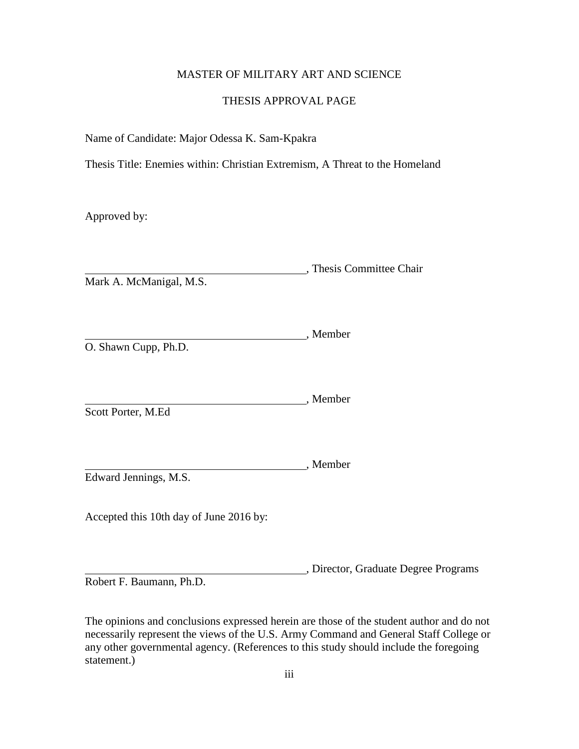## MASTER OF MILITARY ART AND SCIENCE

## THESIS APPROVAL PAGE

Name of Candidate: Major Odessa K. Sam-Kpakra

Thesis Title: Enemies within: Christian Extremism, A Threat to the Homeland

Approved by:

, Thesis Committee Chair Mark A. McManigal, M.S.

, Member O. Shawn Cupp, Ph.D.

, Member Scott Porter, M.Ed

, Member Edward Jennings, M.S.

Accepted this 10th day of June 2016 by:

, Director, Graduate Degree Programs

Robert F. Baumann, Ph.D.

The opinions and conclusions expressed herein are those of the student author and do not necessarily represent the views of the U.S. Army Command and General Staff College or any other governmental agency. (References to this study should include the foregoing statement.)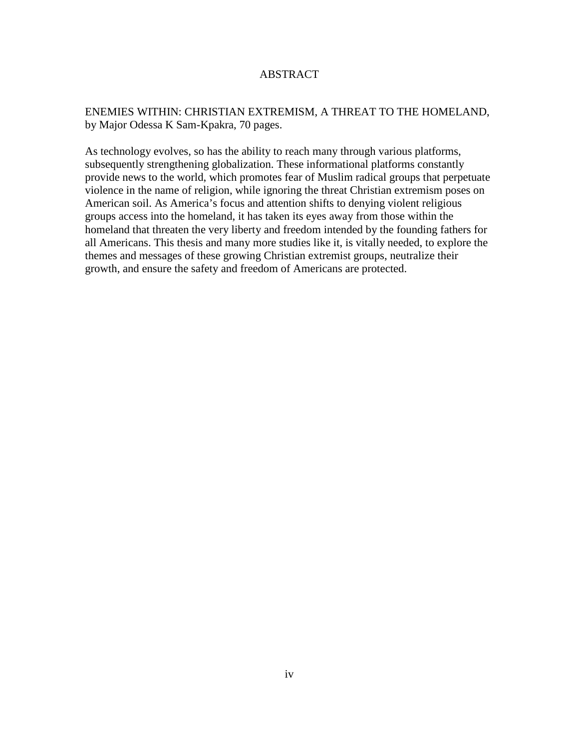## ABSTRACT

# ENEMIES WITHIN: CHRISTIAN EXTREMISM, A THREAT TO THE HOMELAND, by Major Odessa K Sam-Kpakra, 70 pages.

As technology evolves, so has the ability to reach many through various platforms, subsequently strengthening globalization. These informational platforms constantly provide news to the world, which promotes fear of Muslim radical groups that perpetuate violence in the name of religion, while ignoring the threat Christian extremism poses on American soil. As America's focus and attention shifts to denying violent religious groups access into the homeland, it has taken its eyes away from those within the homeland that threaten the very liberty and freedom intended by the founding fathers for all Americans. This thesis and many more studies like it, is vitally needed, to explore the themes and messages of these growing Christian extremist groups, neutralize their growth, and ensure the safety and freedom of Americans are protected.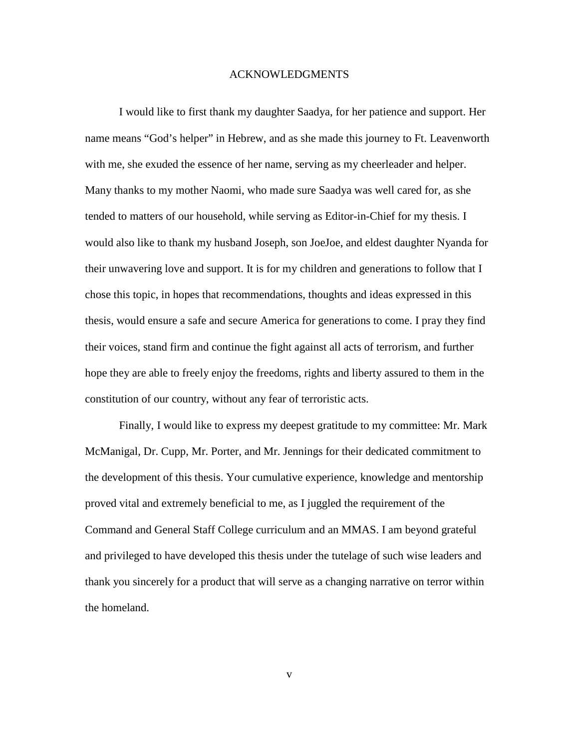#### ACKNOWLEDGMENTS

I would like to first thank my daughter Saadya, for her patience and support. Her name means "God's helper" in Hebrew, and as she made this journey to Ft. Leavenworth with me, she exuded the essence of her name, serving as my cheerleader and helper. Many thanks to my mother Naomi, who made sure Saadya was well cared for, as she tended to matters of our household, while serving as Editor-in-Chief for my thesis. I would also like to thank my husband Joseph, son JoeJoe, and eldest daughter Nyanda for their unwavering love and support. It is for my children and generations to follow that I chose this topic, in hopes that recommendations, thoughts and ideas expressed in this thesis, would ensure a safe and secure America for generations to come. I pray they find their voices, stand firm and continue the fight against all acts of terrorism, and further hope they are able to freely enjoy the freedoms, rights and liberty assured to them in the constitution of our country, without any fear of terroristic acts.

Finally, I would like to express my deepest gratitude to my committee: Mr. Mark McManigal, Dr. Cupp, Mr. Porter, and Mr. Jennings for their dedicated commitment to the development of this thesis. Your cumulative experience, knowledge and mentorship proved vital and extremely beneficial to me, as I juggled the requirement of the Command and General Staff College curriculum and an MMAS. I am beyond grateful and privileged to have developed this thesis under the tutelage of such wise leaders and thank you sincerely for a product that will serve as a changing narrative on terror within the homeland.

v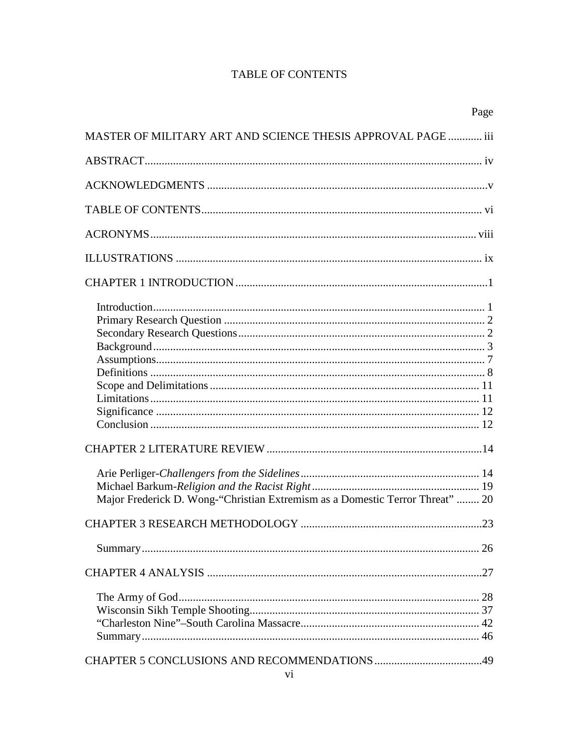# **TABLE OF CONTENTS**

| Page                                                                          |  |
|-------------------------------------------------------------------------------|--|
| MASTER OF MILITARY ART AND SCIENCE THESIS APPROVAL PAGE  iii                  |  |
|                                                                               |  |
|                                                                               |  |
|                                                                               |  |
|                                                                               |  |
|                                                                               |  |
|                                                                               |  |
| Major Frederick D. Wong-"Christian Extremism as a Domestic Terror Threat"  20 |  |
|                                                                               |  |
| 26                                                                            |  |
|                                                                               |  |
|                                                                               |  |
|                                                                               |  |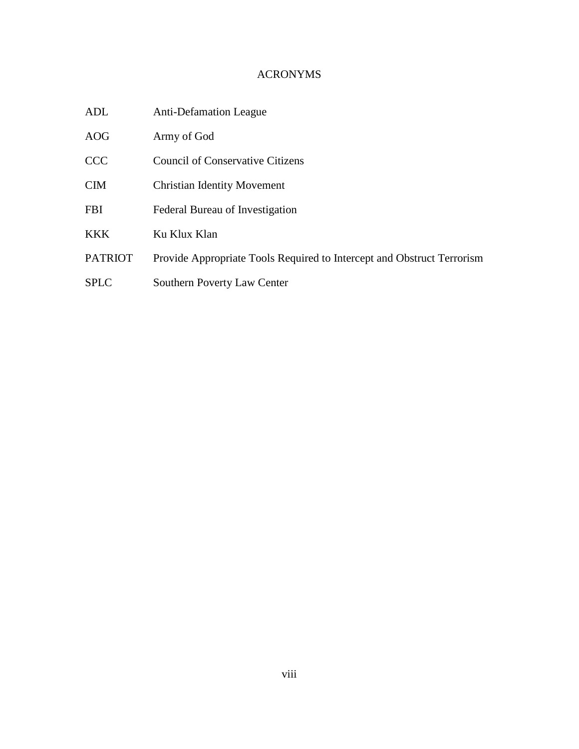# ACRONYMS

| ADL         | <b>Anti-Defamation League</b>                                          |
|-------------|------------------------------------------------------------------------|
| AOG         | Army of God                                                            |
| <b>CCC</b>  | <b>Council of Conservative Citizens</b>                                |
| CIM         | <b>Christian Identity Movement</b>                                     |
| FBI         | Federal Bureau of Investigation                                        |
| <b>KKK</b>  | Ku Klux Klan                                                           |
| PATRIOT     | Provide Appropriate Tools Required to Intercept and Obstruct Terrorism |
| <b>SPLC</b> | Southern Poverty Law Center                                            |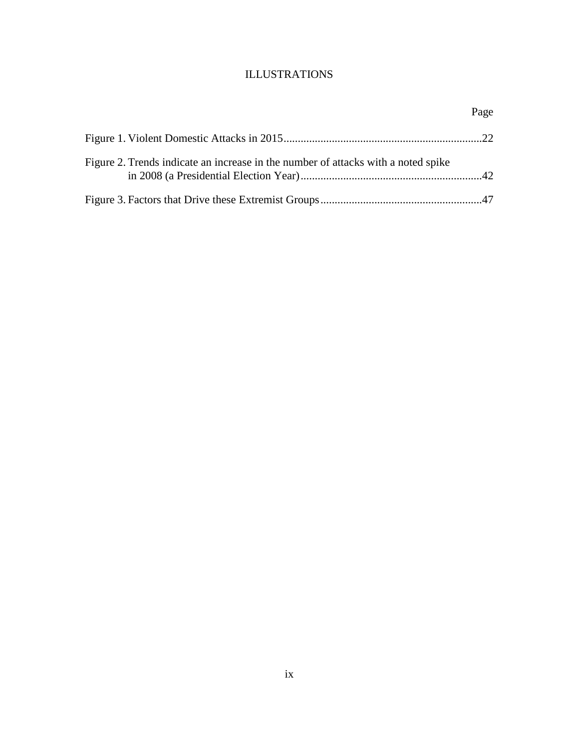# ILLUSTRATIONS

|                                                                                   | Page |
|-----------------------------------------------------------------------------------|------|
|                                                                                   |      |
| Figure 2. Trends indicate an increase in the number of attacks with a noted spike |      |
|                                                                                   |      |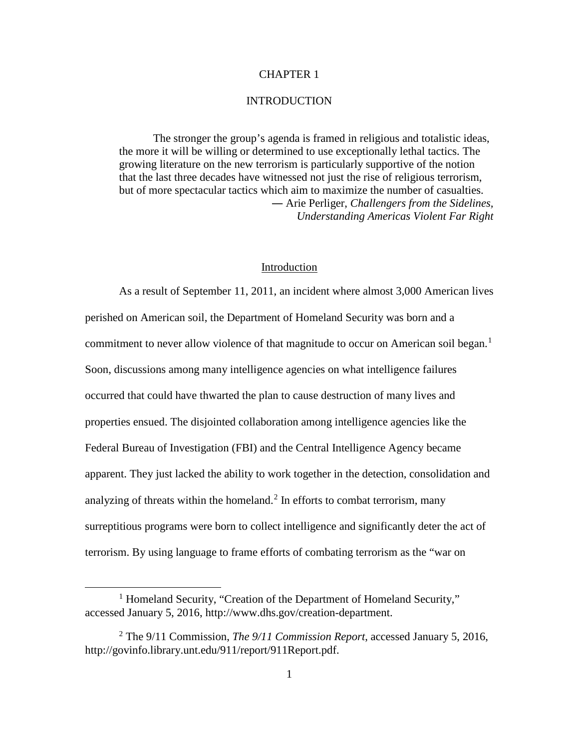## CHAPTER 1

#### **INTRODUCTION**

The stronger the group's agenda is framed in religious and totalistic ideas, the more it will be willing or determined to use exceptionally lethal tactics. The growing literature on the new terrorism is particularly supportive of the notion that the last three decades have witnessed not just the rise of religious terrorism, but of more spectacular tactics which aim to maximize the number of casualties. ― Arie Perliger, *Challengers from the Sidelines, Understanding Americas Violent Far Right*

#### Introduction

As a result of September 11, 2011, an incident where almost 3,000 American lives perished on American soil, the Department of Homeland Security was born and a commitment to never allow violence of that magnitude to occur on American soil began.<sup>[1](#page-9-0)</sup> Soon, discussions among many intelligence agencies on what intelligence failures occurred that could have thwarted the plan to cause destruction of many lives and properties ensued. The disjointed collaboration among intelligence agencies like the Federal Bureau of Investigation (FBI) and the Central Intelligence Agency became apparent. They just lacked the ability to work together in the detection, consolidation and analyzing of threats within the homeland.<sup>[2](#page-9-1)</sup> In efforts to combat terrorism, many surreptitious programs were born to collect intelligence and significantly deter the act of terrorism. By using language to frame efforts of combating terrorism as the "war on

<span id="page-9-0"></span><sup>&</sup>lt;sup>1</sup> Homeland Security, "Creation of the Department of Homeland Security," accessed January 5, 2016, http://www.dhs.gov/creation-department.

<span id="page-9-1"></span><sup>2</sup> The 9/11 Commission, *The 9/11 Commission Report*, accessed January 5, 2016, http://govinfo.library.unt.edu/911/report/911Report.pdf.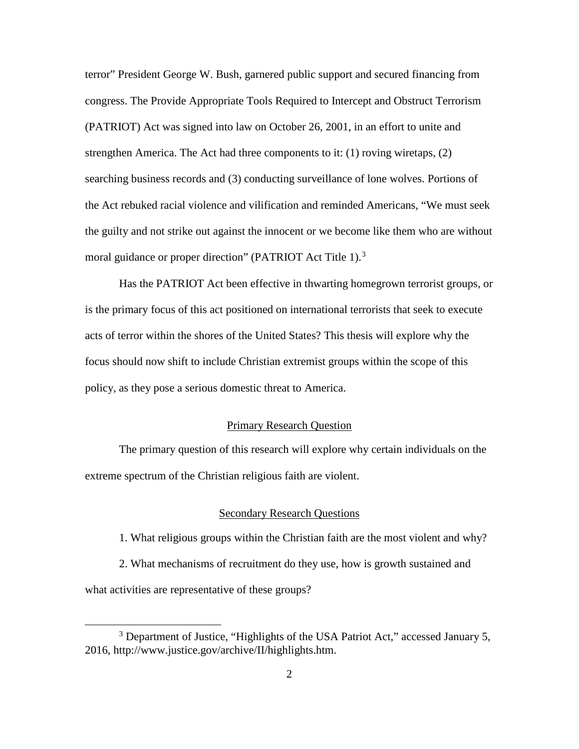terror" President George W. Bush, garnered public support and secured financing from congress. The Provide Appropriate Tools Required to Intercept and Obstruct Terrorism (PATRIOT) Act was signed into law on October 26, 2001, in an effort to unite and strengthen America. The Act had three components to it: (1) roving wiretaps, (2) searching business records and (3) conducting surveillance of lone wolves. Portions of the Act rebuked racial violence and vilification and reminded Americans, "We must seek the guilty and not strike out against the innocent or we become like them who are without moral guidance or proper direction" (PATRIOT Act Title 1).<sup>[3](#page-10-0)</sup>

Has the PATRIOT Act been effective in thwarting homegrown terrorist groups, or is the primary focus of this act positioned on international terrorists that seek to execute acts of terror within the shores of the United States? This thesis will explore why the focus should now shift to include Christian extremist groups within the scope of this policy, as they pose a serious domestic threat to America.

## Primary Research Question

The primary question of this research will explore why certain individuals on the extreme spectrum of the Christian religious faith are violent.

#### Secondary Research Questions

1. What religious groups within the Christian faith are the most violent and why?

2. What mechanisms of recruitment do they use, how is growth sustained and what activities are representative of these groups?

<span id="page-10-0"></span><sup>&</sup>lt;sup>3</sup> Department of Justice, "Highlights of the USA Patriot Act," accessed January 5, 2016, http://www.justice.gov/archive/II/highlights.htm.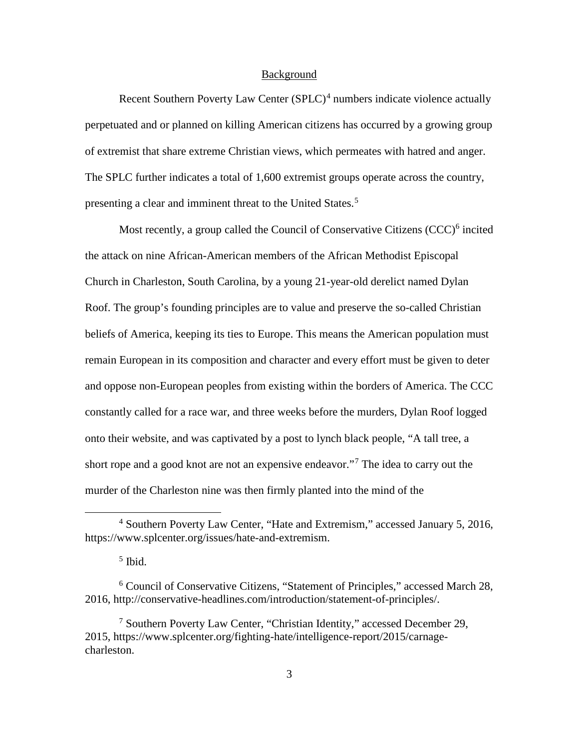#### Background

Recent Southern Poverty Law Center  $(SPLC)^4$  $(SPLC)^4$  numbers indicate violence actually perpetuated and or planned on killing American citizens has occurred by a growing group of extremist that share extreme Christian views, which permeates with hatred and anger. The SPLC further indicates a total of 1,600 extremist groups operate across the country, presenting a clear and imminent threat to the United States.<sup>[5](#page-11-1)</sup>

Most recently, a group called the Council of Conservative Citizens  $(CCC)^6$  $(CCC)^6$  incited the attack on nine African-American members of the African Methodist Episcopal Church in Charleston, South Carolina, by a young 21-year-old derelict named Dylan Roof. The group's founding principles are to value and preserve the so-called Christian beliefs of America, keeping its ties to Europe. This means the American population must remain European in its composition and character and every effort must be given to deter and oppose non-European peoples from existing within the borders of America. The CCC constantly called for a race war, and three weeks before the murders, Dylan Roof logged onto their website, and was captivated by a post to lynch black people, "A tall tree, a short rope and a good knot are not an expensive endeavor."[7](#page-11-3) The idea to carry out the murder of the Charleston nine was then firmly planted into the mind of the

<span id="page-11-0"></span> <sup>4</sup> Southern Poverty Law Center, "Hate and Extremism," accessed January 5, 2016, https://www.splcenter.org/issues/hate-and-extremism.

 $<sup>5</sup>$  Ibid.</sup>

<span id="page-11-2"></span><span id="page-11-1"></span><sup>6</sup> Council of Conservative Citizens, "Statement of Principles," accessed March 28, 2016, http://conservative-headlines.com/introduction/statement-of-principles/.

<span id="page-11-3"></span><sup>7</sup> Southern Poverty Law Center, "Christian Identity," accessed December 29, 2015, https://www.splcenter.org/fighting-hate/intelligence-report/2015/carnagecharleston.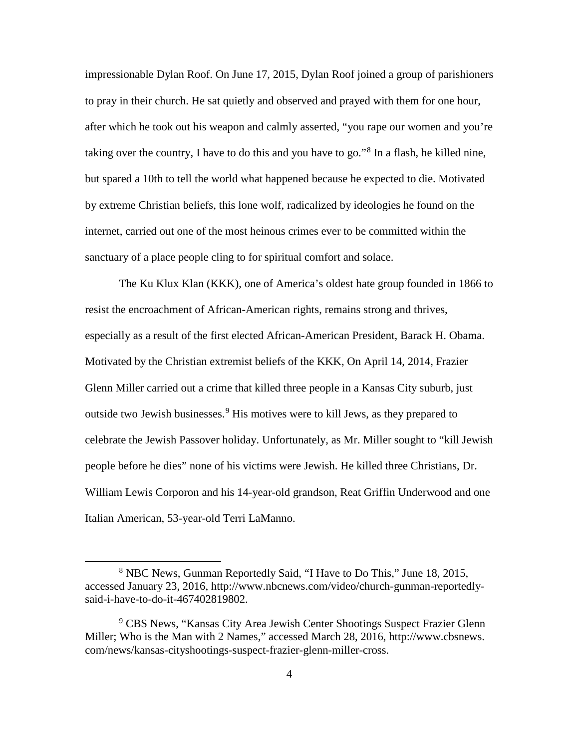impressionable Dylan Roof. On June 17, 2015, Dylan Roof joined a group of parishioners to pray in their church. He sat quietly and observed and prayed with them for one hour, after which he took out his weapon and calmly asserted, "you rape our women and you're taking over the country, I have to do this and you have to go."<sup>[8](#page-12-0)</sup> In a flash, he killed nine, but spared a 10th to tell the world what happened because he expected to die. Motivated by extreme Christian beliefs, this lone wolf, radicalized by ideologies he found on the internet, carried out one of the most heinous crimes ever to be committed within the sanctuary of a place people cling to for spiritual comfort and solace.

The Ku Klux Klan (KKK), one of America's oldest hate group founded in 1866 to resist the encroachment of African-American rights, remains strong and thrives, especially as a result of the first elected African-American President, Barack H. Obama. Motivated by the Christian extremist beliefs of the KKK, On April 14, 2014, Frazier Glenn Miller carried out a crime that killed three people in a Kansas City suburb, just outside two Jewish businesses.<sup>[9](#page-12-1)</sup> His motives were to kill Jews, as they prepared to celebrate the Jewish Passover holiday. Unfortunately, as Mr. Miller sought to "kill Jewish people before he dies" none of his victims were Jewish. He killed three Christians, Dr. William Lewis Corporon and his 14-year-old grandson, Reat Griffin Underwood and one Italian American, 53-year-old Terri LaManno.

<span id="page-12-0"></span> <sup>8</sup> NBC News, Gunman Reportedly Said, "I Have to Do This," June 18, 2015, accessed January 23, 2016, http://www.nbcnews.com/video/church-gunman-reportedlysaid-i-have-to-do-it-467402819802.

<span id="page-12-1"></span><sup>&</sup>lt;sup>9</sup> CBS News, "Kansas City Area Jewish Center Shootings Suspect Frazier Glenn Miller; Who is the Man with 2 Names," accessed March 28, 2016, http://www.cbsnews. com/news/kansas-cityshootings-suspect-frazier-glenn-miller-cross.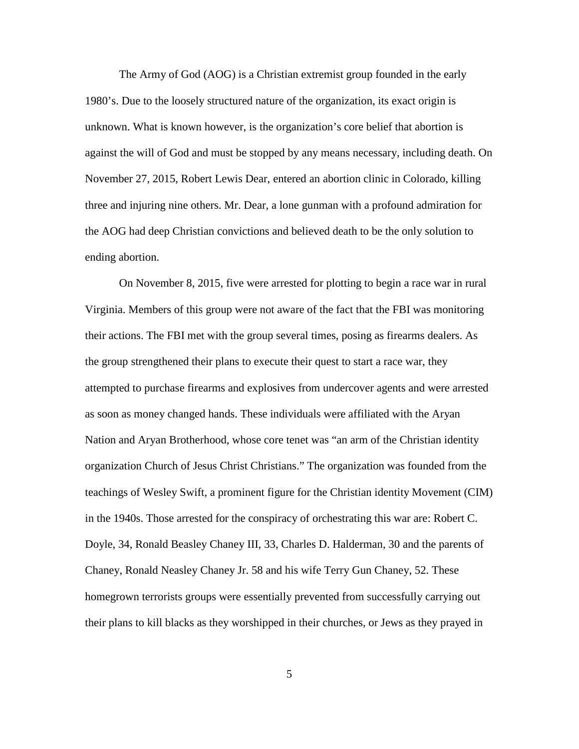The Army of God (AOG) is a Christian extremist group founded in the early 1980's. Due to the loosely structured nature of the organization, its exact origin is unknown. What is known however, is the organization's core belief that abortion is against the will of God and must be stopped by any means necessary, including death. On November 27, 2015, Robert Lewis Dear, entered an abortion clinic in Colorado, killing three and injuring nine others. Mr. Dear, a lone gunman with a profound admiration for the AOG had deep Christian convictions and believed death to be the only solution to ending abortion.

On November 8, 2015, five were arrested for plotting to begin a race war in rural Virginia. Members of this group were not aware of the fact that the FBI was monitoring their actions. The FBI met with the group several times, posing as firearms dealers. As the group strengthened their plans to execute their quest to start a race war, they attempted to purchase firearms and explosives from undercover agents and were arrested as soon as money changed hands. These individuals were affiliated with the Aryan Nation and Aryan Brotherhood, whose core tenet was "an arm of the Christian identity organization Church of Jesus Christ Christians." The organization was founded from the teachings of Wesley Swift, a prominent figure for the Christian identity Movement (CIM) in the 1940s. Those arrested for the conspiracy of orchestrating this war are: Robert C. Doyle, 34, Ronald Beasley Chaney III, 33, Charles D. Halderman, 30 and the parents of Chaney, Ronald Neasley Chaney Jr. 58 and his wife Terry Gun Chaney, 52. These homegrown terrorists groups were essentially prevented from successfully carrying out their plans to kill blacks as they worshipped in their churches, or Jews as they prayed in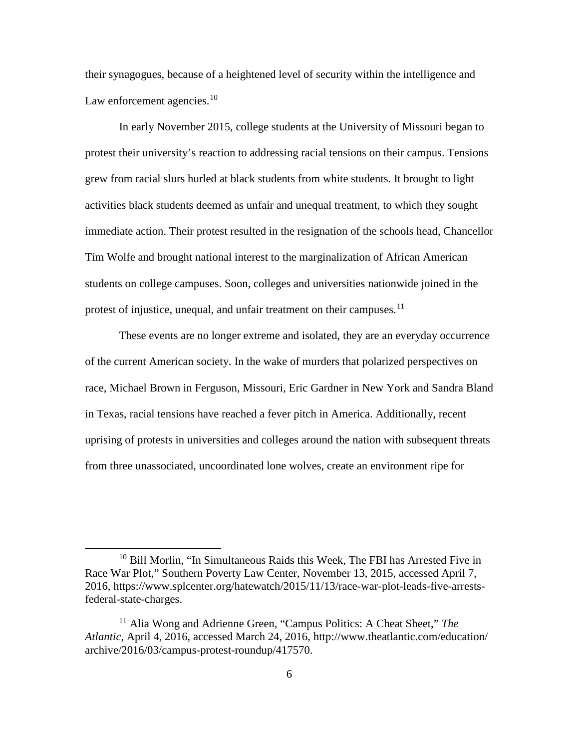their synagogues, because of a heightened level of security within the intelligence and Law enforcement agencies. $10$ 

In early November 2015, college students at the University of Missouri began to protest their university's reaction to addressing racial tensions on their campus. Tensions grew from racial slurs hurled at black students from white students. It brought to light activities black students deemed as unfair and unequal treatment, to which they sought immediate action. Their protest resulted in the resignation of the schools head, Chancellor Tim Wolfe and brought national interest to the marginalization of African American students on college campuses. Soon, colleges and universities nationwide joined in the protest of injustice, unequal, and unfair treatment on their campuses.<sup>[11](#page-14-1)</sup>

These events are no longer extreme and isolated, they are an everyday occurrence of the current American society. In the wake of murders that polarized perspectives on race, Michael Brown in Ferguson, Missouri, Eric Gardner in New York and Sandra Bland in Texas, racial tensions have reached a fever pitch in America. Additionally, recent uprising of protests in universities and colleges around the nation with subsequent threats from three unassociated, uncoordinated lone wolves, create an environment ripe for

<span id="page-14-0"></span><sup>&</sup>lt;sup>10</sup> Bill Morlin, "In Simultaneous Raids this Week, The FBI has Arrested Five in Race War Plot," Southern Poverty Law Center, November 13, 2015, accessed April 7, 2016, https://www.splcenter.org/hatewatch/2015/11/13/race-war-plot-leads-five-arrestsfederal-state-charges.

<span id="page-14-1"></span><sup>11</sup> Alia Wong and Adrienne Green, "Campus Politics: A Cheat Sheet," *The Atlantic*, April 4, 2016, accessed March 24, 2016, http://www.theatlantic.com/education/ archive/2016/03/campus-protest-roundup/417570.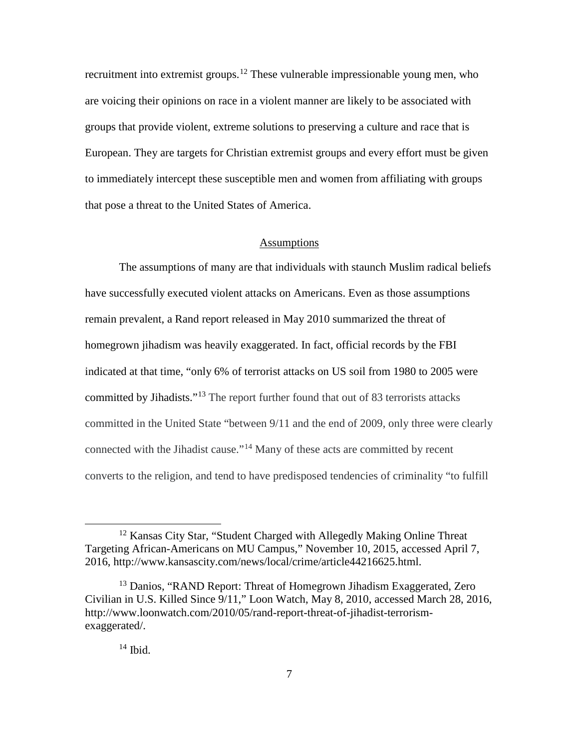recruitment into extremist groups.<sup>[12](#page-15-0)</sup> These vulnerable impressionable young men, who are voicing their opinions on race in a violent manner are likely to be associated with groups that provide violent, extreme solutions to preserving a culture and race that is European. They are targets for Christian extremist groups and every effort must be given to immediately intercept these susceptible men and women from affiliating with groups that pose a threat to the United States of America.

#### Assumptions

The assumptions of many are that individuals with staunch Muslim radical beliefs have successfully executed violent attacks on Americans. Even as those assumptions remain prevalent, a Rand report released in May 2010 summarized the threat of homegrown jihadism was heavily exaggerated. In fact, official records by the FBI indicated at that time, "only 6% of terrorist attacks on US soil from 1980 to 2005 were committed by Jihadists."<sup>[13](#page-15-1)</sup> The report further found that out of 83 terrorists attacks committed in the United State "between 9/11 and the end of 2009, only three were clearly connected with the Jihadist cause."[14](#page-15-2) Many of these acts are committed by recent converts to the religion, and tend to have predisposed tendencies of criminality "to fulfill

## $14$  Ibid.

<span id="page-15-0"></span><sup>&</sup>lt;sup>12</sup> Kansas City Star, "Student Charged with Allegedly Making Online Threat Targeting African-Americans on MU Campus," November 10, 2015, accessed April 7, 2016, http://www.kansascity.com/news/local/crime/article44216625.html.

<span id="page-15-2"></span><span id="page-15-1"></span><sup>&</sup>lt;sup>13</sup> Danios, "RAND Report: Threat of Homegrown Jihadism Exaggerated, Zero Civilian in U.S. Killed Since 9/11," Loon Watch, May 8, 2010, accessed March 28, 2016, http://www.loonwatch.com/2010/05/rand-report-threat-of-jihadist-terrorismexaggerated/.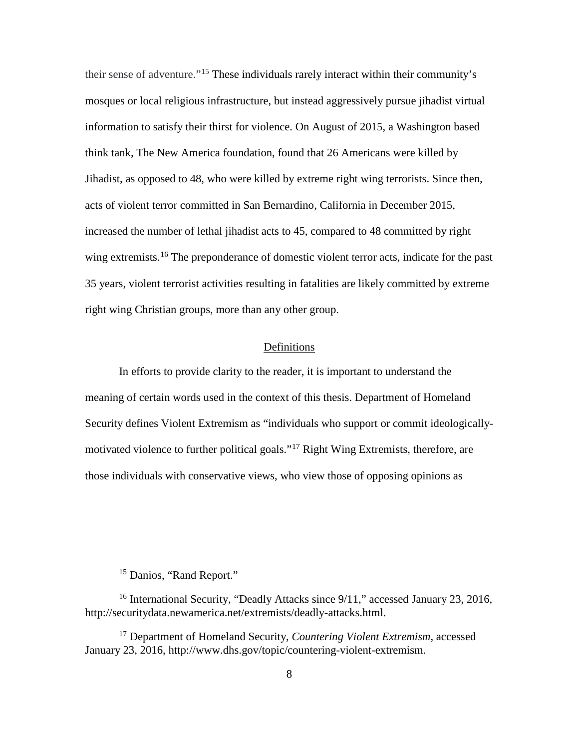their sense of adventure."[15](#page-16-0) These individuals rarely interact within their community's mosques or local religious infrastructure, but instead aggressively pursue jihadist virtual information to satisfy their thirst for violence. On August of 2015, a Washington based think tank, The New America foundation, found that 26 Americans were killed by Jihadist, as opposed to 48, who were killed by extreme right wing terrorists. Since then, acts of violent terror committed in San Bernardino, California in December 2015, increased the number of lethal jihadist acts to 45, compared to 48 committed by right wing extremists.<sup>[16](#page-16-1)</sup> The preponderance of domestic violent terror acts, indicate for the past 35 years, violent terrorist activities resulting in fatalities are likely committed by extreme right wing Christian groups, more than any other group.

#### Definitions

In efforts to provide clarity to the reader, it is important to understand the meaning of certain words used in the context of this thesis. Department of Homeland Security defines Violent Extremism as "individuals who support or commit ideologicallymotivated violence to further political goals."[17](#page-16-2) Right Wing Extremists, therefore, are those individuals with conservative views, who view those of opposing opinions as

<sup>&</sup>lt;sup>15</sup> Danios, "Rand Report."

<span id="page-16-1"></span><span id="page-16-0"></span><sup>&</sup>lt;sup>16</sup> International Security, "Deadly Attacks since 9/11," accessed January 23, 2016, http://securitydata.newamerica.net/extremists/deadly-attacks.html.

<span id="page-16-2"></span><sup>17</sup> Department of Homeland Security, *Countering Violent Extremism*, accessed January 23, 2016, http://www.dhs.gov/topic/countering-violent-extremism.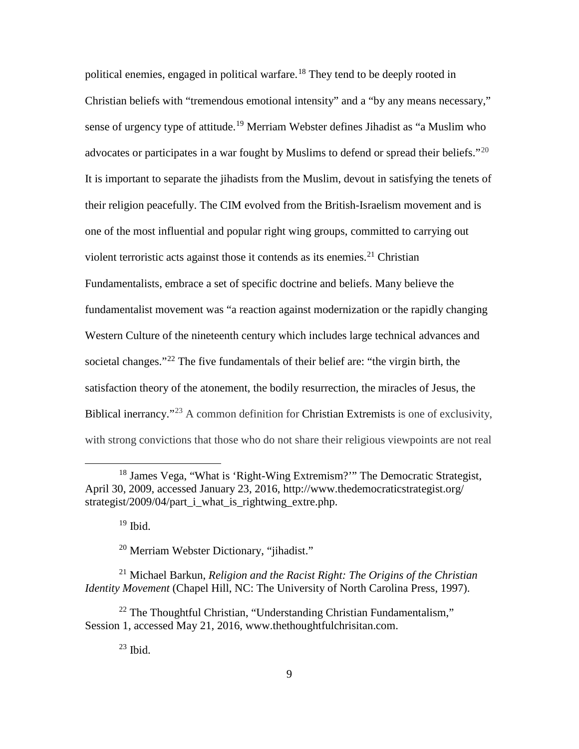political enemies, engaged in political warfare.<sup>[18](#page-17-0)</sup> They tend to be deeply rooted in Christian beliefs with "tremendous emotional intensity" and a "by any means necessary," sense of urgency type of attitude.<sup>[19](#page-17-1)</sup> Merriam Webster defines Jihadist as "a Muslim who advocates or participates in a war fought by Muslims to defend or spread their beliefs."<sup>[20](#page-17-2)</sup> It is important to separate the jihadists from the Muslim, devout in satisfying the tenets of their religion peacefully. The CIM evolved from the British-Israelism movement and is one of the most influential and popular right wing groups, committed to carrying out violent terroristic acts against those it contends as its enemies. $21$  Christian Fundamentalists, embrace a set of specific doctrine and beliefs. Many believe the fundamentalist movement was "a reaction against modernization or the rapidly changing Western Culture of the nineteenth century which includes large technical advances and societal changes."<sup>[22](#page-17-4)</sup> The five fundamentals of their belief are: "the virgin birth, the satisfaction theory of the atonement, the bodily resurrection, the miracles of Jesus, the Biblical inerrancy."[23](#page-17-5) A common definition for Christian Extremists is one of exclusivity, with strong convictions that those who do not share their religious viewpoints are not real

 $19$  Ibid.

<sup>20</sup> Merriam Webster Dictionary, "jihadist."

<span id="page-17-3"></span><span id="page-17-2"></span><span id="page-17-1"></span><sup>21</sup> Michael Barkun, *Religion and the Racist Right: The Origins of the Christian Identity Movement* (Chapel Hill, NC: The University of North Carolina Press, 1997).

<span id="page-17-5"></span><span id="page-17-4"></span><sup>22</sup> The Thoughtful Christian, "Understanding Christian Fundamentalism," Session 1, accessed May 21, 2016, www.thethoughtfulchrisitan.com.

 $^{23}$  Ibid.

<span id="page-17-0"></span><sup>&</sup>lt;sup>18</sup> James Vega, "What is 'Right-Wing Extremism?" The Democratic Strategist, April 30, 2009, accessed January 23, 2016, http://www.thedemocraticstrategist.org/ strategist/2009/04/part i what is rightwing extre.php.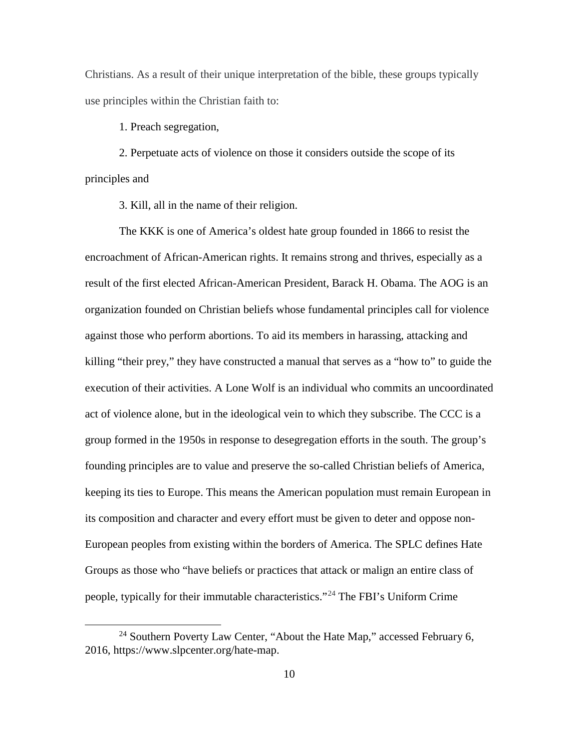Christians. As a result of their unique interpretation of the bible, these groups typically use principles within the Christian faith to:

1. Preach segregation,

2. Perpetuate acts of violence on those it considers outside the scope of its principles and

3. Kill, all in the name of their religion.

The KKK is one of America's oldest hate group founded in 1866 to resist the encroachment of African-American rights. It remains strong and thrives, especially as a result of the first elected African-American President, Barack H. Obama. The AOG is an organization founded on Christian beliefs whose fundamental principles call for violence against those who perform abortions. To aid its members in harassing, attacking and killing "their prey," they have constructed a manual that serves as a "how to" to guide the execution of their activities. A Lone Wolf is an individual who commits an uncoordinated act of violence alone, but in the ideological vein to which they subscribe. The CCC is a group formed in the 1950s in response to desegregation efforts in the south. The group's founding principles are to value and preserve the so-called Christian beliefs of America, keeping its ties to Europe. This means the American population must remain European in its composition and character and every effort must be given to deter and oppose non-European peoples from existing within the borders of America. The SPLC defines Hate Groups as those who "have beliefs or practices that attack or malign an entire class of people, typically for their immutable characteristics."[24](#page-18-0) The FBI's Uniform Crime

<span id="page-18-0"></span> $^{24}$  Southern Poverty Law Center, "About the Hate Map," accessed February 6, 2016, https://www.slpcenter.org/hate-map.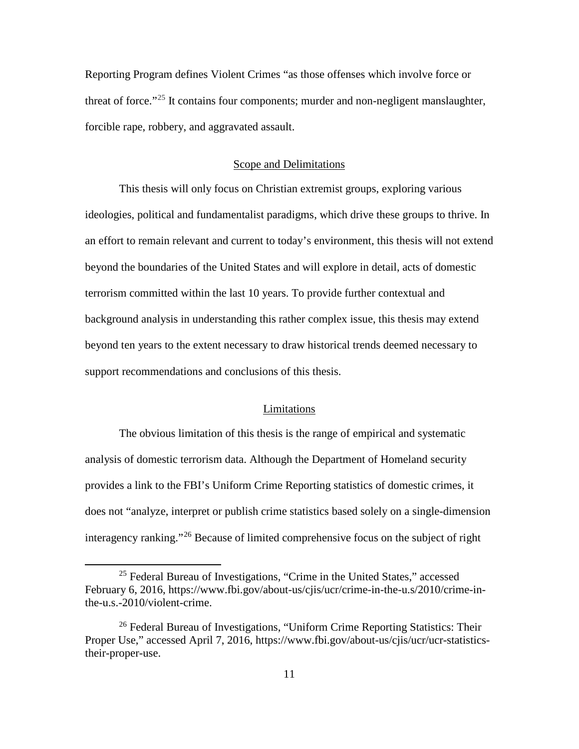Reporting Program defines Violent Crimes "as those offenses which involve force or threat of force."<sup>[25](#page-19-0)</sup> It contains four components; murder and non-negligent manslaughter, forcible rape, robbery, and aggravated assault.

## Scope and Delimitations

This thesis will only focus on Christian extremist groups, exploring various ideologies, political and fundamentalist paradigms, which drive these groups to thrive. In an effort to remain relevant and current to today's environment, this thesis will not extend beyond the boundaries of the United States and will explore in detail, acts of domestic terrorism committed within the last 10 years. To provide further contextual and background analysis in understanding this rather complex issue, this thesis may extend beyond ten years to the extent necessary to draw historical trends deemed necessary to support recommendations and conclusions of this thesis.

#### Limitations

The obvious limitation of this thesis is the range of empirical and systematic analysis of domestic terrorism data. Although the Department of Homeland security provides a link to the FBI's Uniform Crime Reporting statistics of domestic crimes, it does not "analyze, interpret or publish crime statistics based solely on a single-dimension interagency ranking."[26](#page-19-1) Because of limited comprehensive focus on the subject of right

<span id="page-19-0"></span> $25$  Federal Bureau of Investigations, "Crime in the United States," accessed February 6, 2016, https://www.fbi.gov/about-us/cjis/ucr/crime-in-the-u.s/2010/crime-inthe-u.s.-2010/violent-crime.

<span id="page-19-1"></span><sup>&</sup>lt;sup>26</sup> Federal Bureau of Investigations, "Uniform Crime Reporting Statistics: Their Proper Use," accessed April 7, 2016, https://www.fbi.gov/about-us/cjis/ucr/ucr-statisticstheir-proper-use.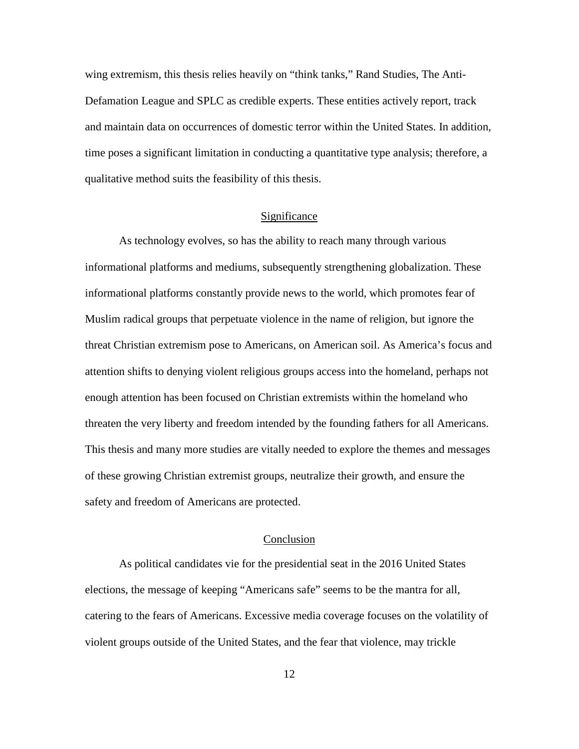wing extremism, this thesis relies heavily on "think tanks," Rand Studies, The Anti-Defamation League and SPLC as credible experts. These entities actively report, track and maintain data on occurrences of domestic terror within the United States. In addition, time poses a significant limitation in conducting a quantitative type analysis; therefore, a qualitative method suits the feasibility of this thesis.

## Significance

As technology evolves, so has the ability to reach many through various informational platforms and mediums, subsequently strengthening globalization. These informational platforms constantly provide news to the world, which promotes fear of Muslim radical groups that perpetuate violence in the name of religion, but ignore the threat Christian extremism pose to Americans, on American soil. As America's focus and attention shifts to denying violent religious groups access into the homeland, perhaps not enough attention has been focused on Christian extremists within the homeland who threaten the very liberty and freedom intended by the founding fathers for all Americans. This thesis and many more studies are vitally needed to explore the themes and messages of these growing Christian extremist groups, neutralize their growth, and ensure the safety and freedom of Americans are protected.

#### Conclusion

As political candidates vie for the presidential seat in the 2016 United States elections, the message of keeping "Americans safe" seems to be the mantra for all, catering to the fears of Americans. Excessive media coverage focuses on the volatility of violent groups outside of the United States, and the fear that violence, may trickle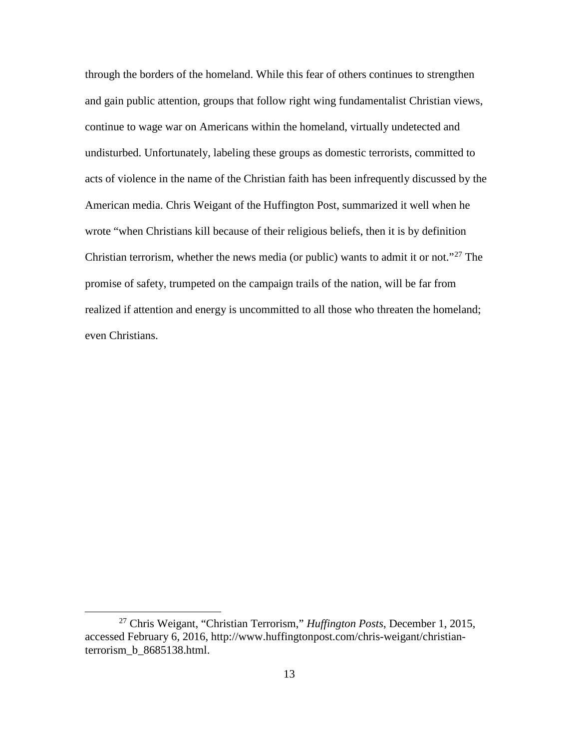through the borders of the homeland. While this fear of others continues to strengthen and gain public attention, groups that follow right wing fundamentalist Christian views, continue to wage war on Americans within the homeland, virtually undetected and undisturbed. Unfortunately, labeling these groups as domestic terrorists, committed to acts of violence in the name of the Christian faith has been infrequently discussed by the American media. Chris Weigant of the Huffington Post, summarized it well when he wrote "when Christians kill because of their religious beliefs, then it is by definition Christian terrorism, whether the news media (or public) wants to admit it or not."[27](#page-21-0) The promise of safety, trumpeted on the campaign trails of the nation, will be far from realized if attention and energy is uncommitted to all those who threaten the homeland; even Christians.

<span id="page-21-0"></span> <sup>27</sup> Chris Weigant, "Christian Terrorism," *Huffington Posts*, December 1, 2015, accessed February 6, 2016, http://www.huffingtonpost.com/chris-weigant/christianterrorism\_b\_8685138.html.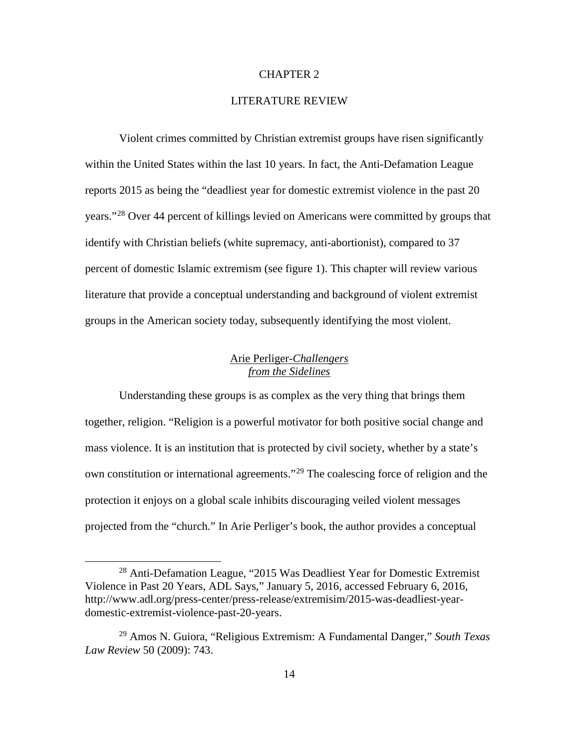#### CHAPTER 2

## LITERATURE REVIEW

Violent crimes committed by Christian extremist groups have risen significantly within the United States within the last 10 years. In fact, the Anti-Defamation League reports 2015 as being the "deadliest year for domestic extremist violence in the past 20 years."[28](#page-22-0) Over 44 percent of killings levied on Americans were committed by groups that identify with Christian beliefs (white supremacy, anti-abortionist), compared to 37 percent of domestic Islamic extremism (see figure 1). This chapter will review various literature that provide a conceptual understanding and background of violent extremist groups in the American society today, subsequently identifying the most violent.

# Arie Perliger-*Challengers from the Sidelines*

Understanding these groups is as complex as the very thing that brings them together, religion. "Religion is a powerful motivator for both positive social change and mass violence. It is an institution that is protected by civil society, whether by a state's own constitution or international agreements."[29](#page-22-1) The coalescing force of religion and the protection it enjoys on a global scale inhibits discouraging veiled violent messages projected from the "church." In Arie Perliger's book, the author provides a conceptual

<span id="page-22-0"></span><sup>&</sup>lt;sup>28</sup> Anti-Defamation League, "2015 Was Deadliest Year for Domestic Extremist Violence in Past 20 Years, ADL Says," January 5, 2016, accessed February 6, 2016, http://www.adl.org/press-center/press-release/extremisim/2015-was-deadliest-yeardomestic-extremist-violence-past-20-years.

<span id="page-22-1"></span><sup>29</sup> Amos N. Guiora, "Religious Extremism: A Fundamental Danger," *South Texas Law Review* 50 (2009): 743.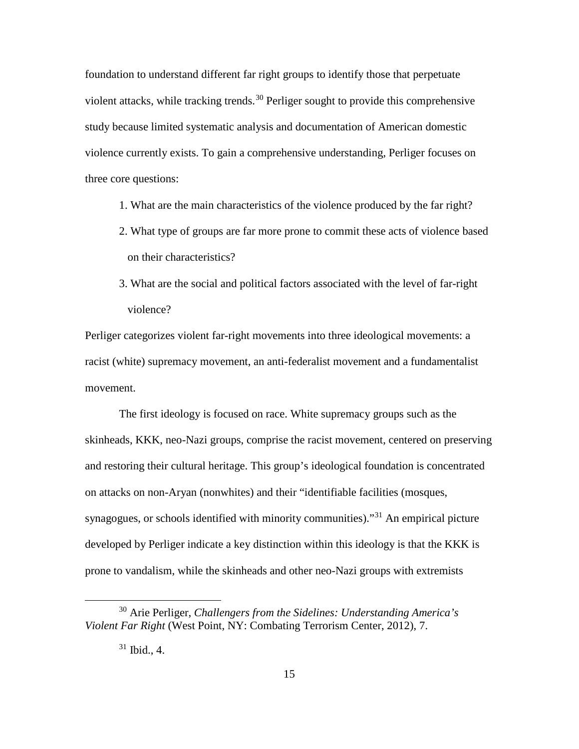foundation to understand different far right groups to identify those that perpetuate violent attacks, while tracking trends.<sup>[30](#page-23-0)</sup> Perliger sought to provide this comprehensive study because limited systematic analysis and documentation of American domestic violence currently exists. To gain a comprehensive understanding, Perliger focuses on three core questions:

- 1. What are the main characteristics of the violence produced by the far right?
- 2. What type of groups are far more prone to commit these acts of violence based on their characteristics?
- 3. What are the social and political factors associated with the level of far-right violence?

Perliger categorizes violent far-right movements into three ideological movements: a racist (white) supremacy movement, an anti-federalist movement and a fundamentalist movement.

The first ideology is focused on race. White supremacy groups such as the skinheads, KKK, neo-Nazi groups, comprise the racist movement, centered on preserving and restoring their cultural heritage. This group's ideological foundation is concentrated on attacks on non-Aryan (nonwhites) and their "identifiable facilities (mosques, synagogues, or schools identified with minority communities).<sup>[31](#page-23-1)</sup> An empirical picture developed by Perliger indicate a key distinction within this ideology is that the KKK is prone to vandalism, while the skinheads and other neo-Nazi groups with extremists

<span id="page-23-1"></span><span id="page-23-0"></span> <sup>30</sup> Arie Perliger, *Challengers from the Sidelines: Understanding America's Violent Far Right* (West Point, NY: Combating Terrorism Center, 2012), 7.

 $31$  Ibid., 4.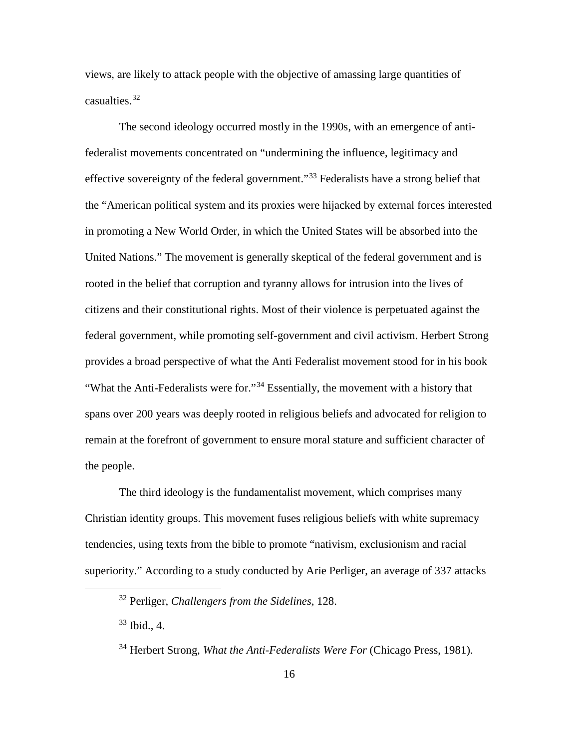views, are likely to attack people with the objective of amassing large quantities of casualties.[32](#page-24-0)

The second ideology occurred mostly in the 1990s, with an emergence of antifederalist movements concentrated on "undermining the influence, legitimacy and effective sovereignty of the federal government."<sup>[33](#page-24-1)</sup> Federalists have a strong belief that the "American political system and its proxies were hijacked by external forces interested in promoting a New World Order, in which the United States will be absorbed into the United Nations." The movement is generally skeptical of the federal government and is rooted in the belief that corruption and tyranny allows for intrusion into the lives of citizens and their constitutional rights. Most of their violence is perpetuated against the federal government, while promoting self-government and civil activism. Herbert Strong provides a broad perspective of what the Anti Federalist movement stood for in his book "What the Anti-Federalists were for."<sup>[34](#page-24-2)</sup> Essentially, the movement with a history that spans over 200 years was deeply rooted in religious beliefs and advocated for religion to remain at the forefront of government to ensure moral stature and sufficient character of the people.

The third ideology is the fundamentalist movement, which comprises many Christian identity groups. This movement fuses religious beliefs with white supremacy tendencies, using texts from the bible to promote "nativism, exclusionism and racial superiority." According to a study conducted by Arie Perliger, an average of 337 attacks

<span id="page-24-0"></span> <sup>32</sup> Perliger, *Challengers from the Sidelines*, 128.

<span id="page-24-1"></span><sup>33</sup> Ibid., 4.

<span id="page-24-2"></span><sup>34</sup> Herbert Strong, *What the Anti-Federalists Were For* (Chicago Press, 1981).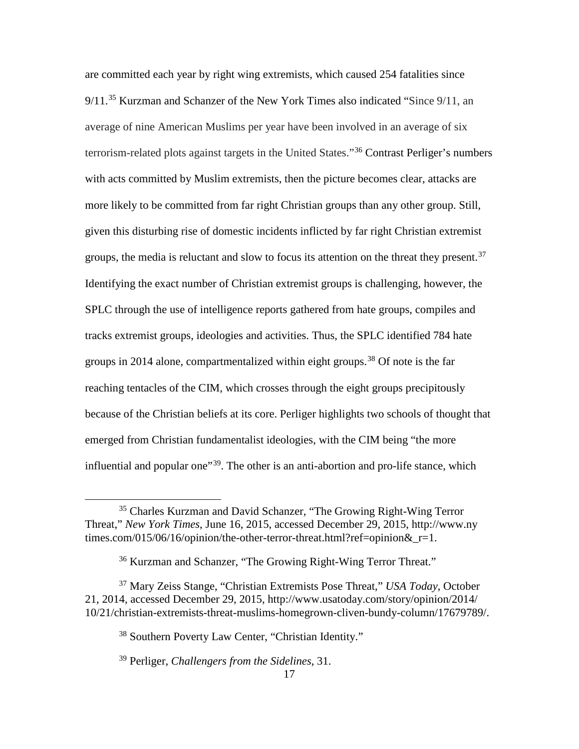are committed each year by right wing extremists, which caused 254 fatalities since 9/11.<sup>[35](#page-25-0)</sup> Kurzman and Schanzer of the New York Times also indicated "Since 9/11, an average of nine American Muslims per year have been involved in an average of six terrorism-related plots against targets in the United States."[36](#page-25-1) Contrast Perliger's numbers with acts committed by Muslim extremists, then the picture becomes clear, attacks are more likely to be committed from far right Christian groups than any other group. Still, given this disturbing rise of domestic incidents inflicted by far right Christian extremist groups, the media is reluctant and slow to focus its attention on the threat they present.<sup>[37](#page-25-2)</sup> Identifying the exact number of Christian extremist groups is challenging, however, the SPLC through the use of intelligence reports gathered from hate groups, compiles and tracks extremist groups, ideologies and activities. Thus, the SPLC identified 784 hate groups in 2014 alone, compartmentalized within eight groups.<sup>[38](#page-25-3)</sup> Of note is the far reaching tentacles of the CIM, which crosses through the eight groups precipitously because of the Christian beliefs at its core. Perliger highlights two schools of thought that emerged from Christian fundamentalist ideologies, with the CIM being "the more influential and popular one<sup>"39</sup>. The other is an anti-abortion and pro-life stance, which

<span id="page-25-0"></span><sup>&</sup>lt;sup>35</sup> Charles Kurzman and David Schanzer, "The Growing Right-Wing Terror" Threat," *New York Times*, June 16, 2015, accessed December 29, 2015, http://www.ny times.com/015/06/16/opinion/the-other-terror-threat.html?ref=opinion& r=1.

<sup>36</sup> Kurzman and Schanzer, "The Growing Right-Wing Terror Threat."

<span id="page-25-4"></span><span id="page-25-3"></span><span id="page-25-2"></span><span id="page-25-1"></span><sup>37</sup> Mary Zeiss Stange, "Christian Extremists Pose Threat," *USA Today*, October 21, 2014, accessed December 29, 2015, http://www.usatoday.com/story/opinion/2014/ 10/21/christian-extremists-threat-muslims-homegrown-cliven-bundy-column/17679789/.

<sup>38</sup> Southern Poverty Law Center, "Christian Identity."

<sup>39</sup> Perliger, *Challengers from the Sidelines*, 31.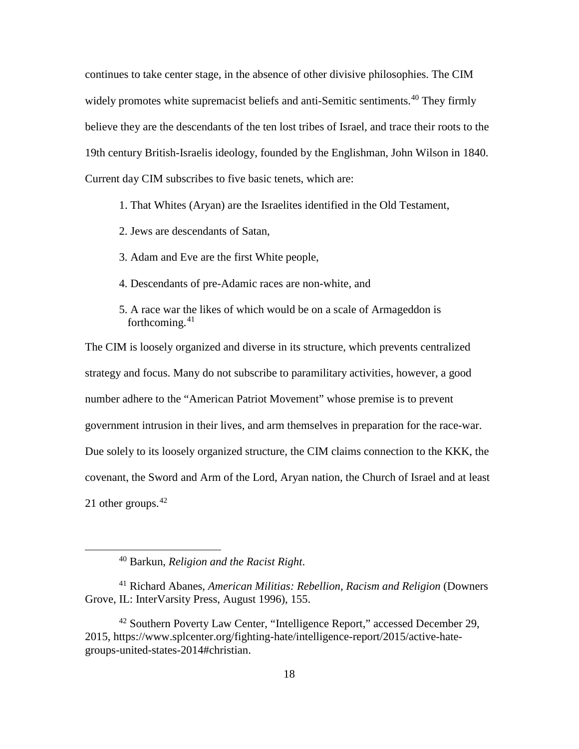continues to take center stage, in the absence of other divisive philosophies. The CIM widely promotes white supremacist beliefs and anti-Semitic sentiments.<sup>[40](#page-26-0)</sup> They firmly believe they are the descendants of the ten lost tribes of Israel, and trace their roots to the 19th century British-Israelis ideology, founded by the Englishman, John Wilson in 1840. Current day CIM subscribes to five basic tenets, which are:

1. That Whites (Aryan) are the Israelites identified in the Old Testament,

2. Jews are descendants of Satan,

3. Adam and Eve are the first White people,

- 4. Descendants of pre-Adamic races are non-white, and
- 5. A race war the likes of which would be on a scale of Armageddon is forthcoming. [41](#page-26-1)

The CIM is loosely organized and diverse in its structure, which prevents centralized strategy and focus. Many do not subscribe to paramilitary activities, however, a good number adhere to the "American Patriot Movement" whose premise is to prevent government intrusion in their lives, and arm themselves in preparation for the race-war. Due solely to its loosely organized structure, the CIM claims connection to the KKK, the covenant, the Sword and Arm of the Lord, Aryan nation, the Church of Israel and at least 21 other groups. $42$ 

 <sup>40</sup> Barkun, *Religion and the Racist Right*.

<span id="page-26-1"></span><span id="page-26-0"></span><sup>41</sup> Richard Abanes, *American Militias: Rebellion, Racism and Religion* (Downers Grove, IL: InterVarsity Press, August 1996), 155.

<span id="page-26-2"></span><sup>42</sup> Southern Poverty Law Center, "Intelligence Report," accessed December 29, 2015, https://www.splcenter.org/fighting-hate/intelligence-report/2015/active-hategroups-united-states-2014#christian.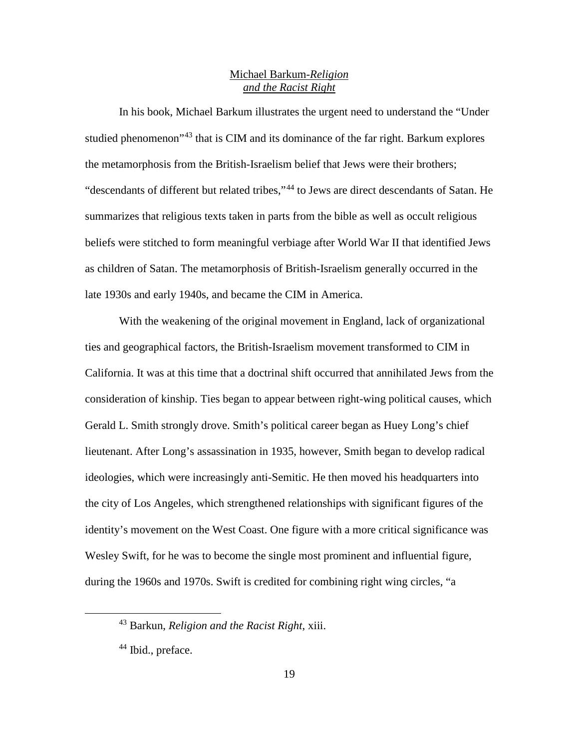## Michael Barkum-*Religion and the Racist Right*

In his book, Michael Barkum illustrates the urgent need to understand the "Under studied phenomenon<sup>3[43](#page-27-0)</sup> that is CIM and its dominance of the far right. Barkum explores the metamorphosis from the British-Israelism belief that Jews were their brothers; "descendants of different but related tribes,"[44](#page-27-1) to Jews are direct descendants of Satan. He summarizes that religious texts taken in parts from the bible as well as occult religious beliefs were stitched to form meaningful verbiage after World War II that identified Jews as children of Satan. The metamorphosis of British-Israelism generally occurred in the late 1930s and early 1940s, and became the CIM in America.

With the weakening of the original movement in England, lack of organizational ties and geographical factors, the British-Israelism movement transformed to CIM in California. It was at this time that a doctrinal shift occurred that annihilated Jews from the consideration of kinship. Ties began to appear between right-wing political causes, which Gerald L. Smith strongly drove. Smith's political career began as Huey Long's chief lieutenant. After Long's assassination in 1935, however, Smith began to develop radical ideologies, which were increasingly anti-Semitic. He then moved his headquarters into the city of Los Angeles, which strengthened relationships with significant figures of the identity's movement on the West Coast. One figure with a more critical significance was Wesley Swift, for he was to become the single most prominent and influential figure, during the 1960s and 1970s. Swift is credited for combining right wing circles, "a

<span id="page-27-0"></span> <sup>43</sup> Barkun, *Religion and the Racist Right*, xiii.

<span id="page-27-1"></span><sup>&</sup>lt;sup>44</sup> Ibid., preface.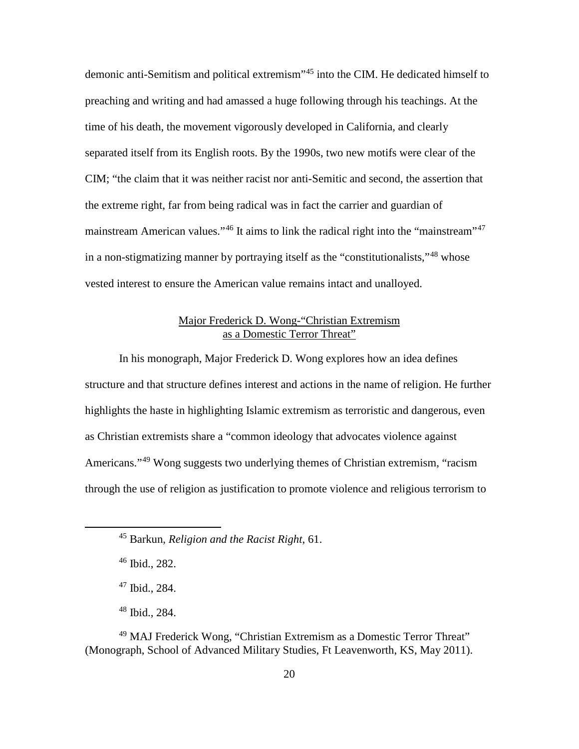demonic anti-Semitism and political extremism"[45](#page-28-0) into the CIM. He dedicated himself to preaching and writing and had amassed a huge following through his teachings. At the time of his death, the movement vigorously developed in California, and clearly separated itself from its English roots. By the 1990s, two new motifs were clear of the CIM; "the claim that it was neither racist nor anti-Semitic and second, the assertion that the extreme right, far from being radical was in fact the carrier and guardian of mainstream American values."<sup>[46](#page-28-1)</sup> It aims to link the radical right into the "mainstream"<sup>[47](#page-28-2)</sup> in a non-stigmatizing manner by portraying itself as the "constitutionalists,"[48](#page-28-3) whose vested interest to ensure the American value remains intact and unalloyed.

# Major Frederick D. Wong-"Christian Extremism as a Domestic Terror Threat"

In his monograph, Major Frederick D. Wong explores how an idea defines structure and that structure defines interest and actions in the name of religion. He further highlights the haste in highlighting Islamic extremism as terroristic and dangerous, even as Christian extremists share a "common ideology that advocates violence against Americans."<sup>[49](#page-28-4)</sup> Wong suggests two underlying themes of Christian extremism, "racism" through the use of religion as justification to promote violence and religious terrorism to

<span id="page-28-4"></span><span id="page-28-3"></span><span id="page-28-2"></span><span id="page-28-1"></span><sup>49</sup> MAJ Frederick Wong, "Christian Extremism as a Domestic Terror Threat" (Monograph, School of Advanced Military Studies, Ft Leavenworth, KS, May 2011).

<span id="page-28-0"></span> <sup>45</sup> Barkun, *Religion and the Racist Right*, 61.

<sup>46</sup> Ibid., 282.

<sup>47</sup> Ibid., 284.

<sup>48</sup> Ibid., 284.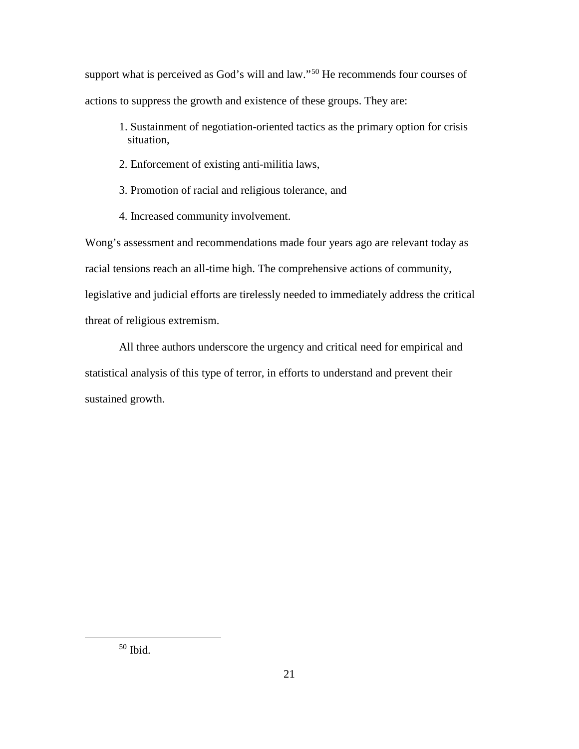support what is perceived as God's will and law."<sup>[50](#page-29-0)</sup> He recommends four courses of actions to suppress the growth and existence of these groups. They are:

- 1. Sustainment of negotiation-oriented tactics as the primary option for crisis situation,
- 2. Enforcement of existing anti-militia laws,
- 3. Promotion of racial and religious tolerance, and
- 4. Increased community involvement.

Wong's assessment and recommendations made four years ago are relevant today as racial tensions reach an all-time high. The comprehensive actions of community, legislative and judicial efforts are tirelessly needed to immediately address the critical threat of religious extremism.

All three authors underscore the urgency and critical need for empirical and statistical analysis of this type of terror, in efforts to understand and prevent their sustained growth.

<span id="page-29-0"></span>50 Ibid.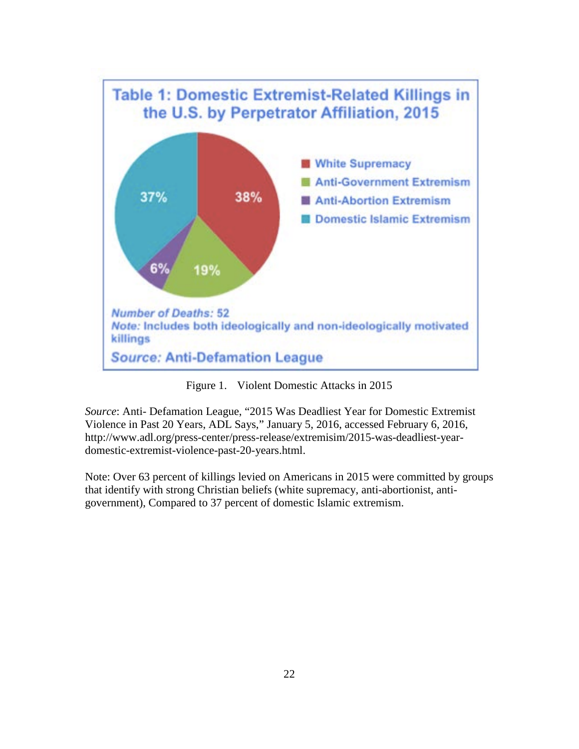

Figure 1. Violent Domestic Attacks in 2015

*Source*: Anti- Defamation League, "2015 Was Deadliest Year for Domestic Extremist Violence in Past 20 Years, ADL Says," January 5, 2016, accessed February 6, 2016, http://www.adl.org/press-center/press-release/extremisim/2015-was-deadliest-yeardomestic-extremist-violence-past-20-years.html.

Note: Over 63 percent of killings levied on Americans in 2015 were committed by groups that identify with strong Christian beliefs (white supremacy, anti-abortionist, antigovernment), Compared to 37 percent of domestic Islamic extremism.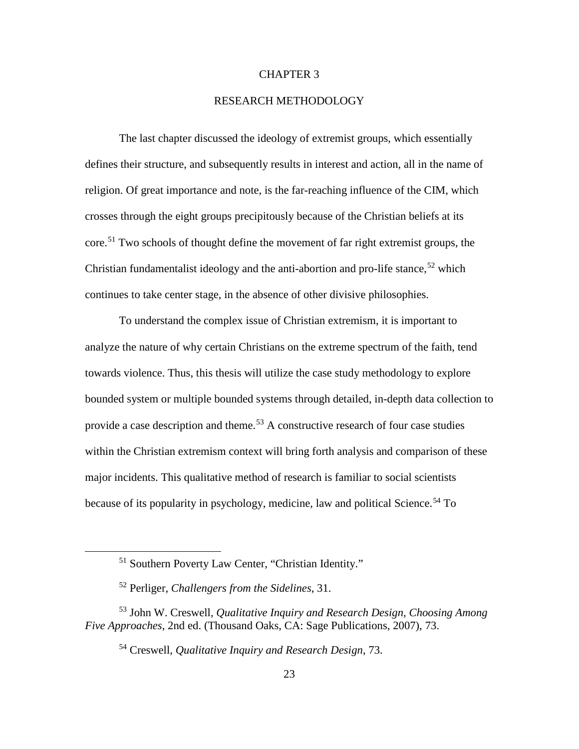### CHAPTER 3

## RESEARCH METHODOLOGY

The last chapter discussed the ideology of extremist groups, which essentially defines their structure, and subsequently results in interest and action, all in the name of religion. Of great importance and note, is the far-reaching influence of the CIM, which crosses through the eight groups precipitously because of the Christian beliefs at its core.[51](#page-31-0) Two schools of thought define the movement of far right extremist groups, the Christian fundamentalist ideology and the anti-abortion and pro-life stance,<sup>[52](#page-31-1)</sup> which continues to take center stage, in the absence of other divisive philosophies.

To understand the complex issue of Christian extremism, it is important to analyze the nature of why certain Christians on the extreme spectrum of the faith, tend towards violence. Thus, this thesis will utilize the case study methodology to explore bounded system or multiple bounded systems through detailed, in-depth data collection to provide a case description and theme.<sup>[53](#page-31-2)</sup> A constructive research of four case studies within the Christian extremism context will bring forth analysis and comparison of these major incidents. This qualitative method of research is familiar to social scientists because of its popularity in psychology, medicine, law and political Science.<sup>[54](#page-31-3)</sup> To

 <sup>51</sup> Southern Poverty Law Center, "Christian Identity."

<sup>52</sup> Perliger, *Challengers from the Sidelines*, 31.

<span id="page-31-3"></span><span id="page-31-2"></span><span id="page-31-1"></span><span id="page-31-0"></span><sup>53</sup> John W. Creswell*, Qualitative Inquiry and Research Design, Choosing Among Five Approaches*, 2nd ed. (Thousand Oaks, CA: Sage Publications, 2007), 73.

<sup>54</sup> Creswell, *Qualitative Inquiry and Research Design*, 73.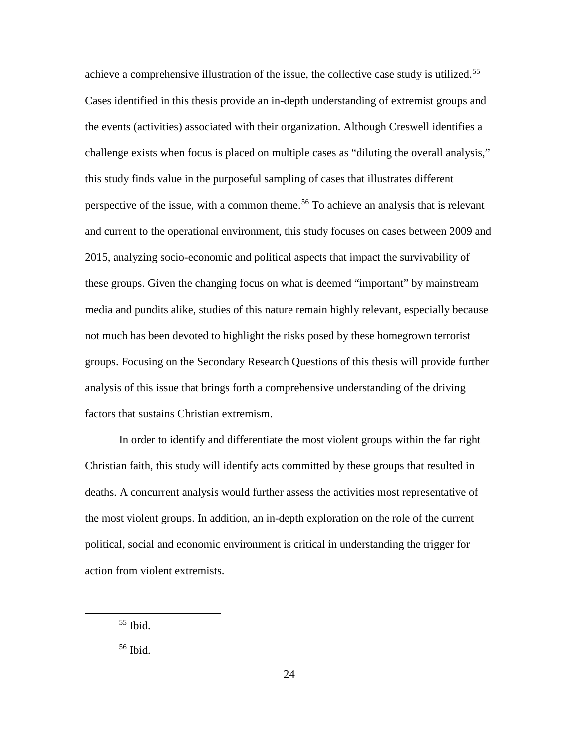achieve a comprehensive illustration of the issue, the collective case study is utilized.<sup>[55](#page-32-0)</sup> Cases identified in this thesis provide an in-depth understanding of extremist groups and the events (activities) associated with their organization. Although Creswell identifies a challenge exists when focus is placed on multiple cases as "diluting the overall analysis," this study finds value in the purposeful sampling of cases that illustrates different perspective of the issue, with a common theme.<sup>[56](#page-32-1)</sup> To achieve an analysis that is relevant and current to the operational environment, this study focuses on cases between 2009 and 2015, analyzing socio-economic and political aspects that impact the survivability of these groups. Given the changing focus on what is deemed "important" by mainstream media and pundits alike, studies of this nature remain highly relevant, especially because not much has been devoted to highlight the risks posed by these homegrown terrorist groups. Focusing on the Secondary Research Questions of this thesis will provide further analysis of this issue that brings forth a comprehensive understanding of the driving factors that sustains Christian extremism.

In order to identify and differentiate the most violent groups within the far right Christian faith, this study will identify acts committed by these groups that resulted in deaths. A concurrent analysis would further assess the activities most representative of the most violent groups. In addition, an in-depth exploration on the role of the current political, social and economic environment is critical in understanding the trigger for action from violent extremists.

<span id="page-32-0"></span> $55$  Ibid.

<span id="page-32-1"></span><sup>56</sup> Ibid.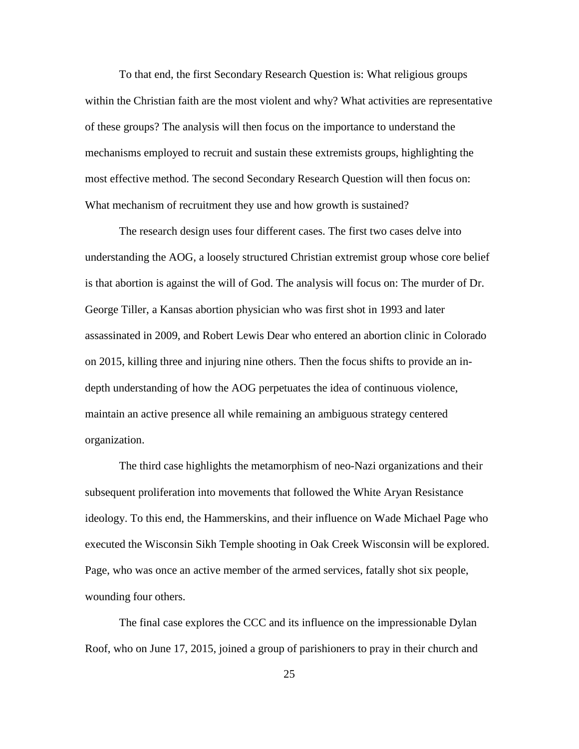To that end, the first Secondary Research Question is: What religious groups within the Christian faith are the most violent and why? What activities are representative of these groups? The analysis will then focus on the importance to understand the mechanisms employed to recruit and sustain these extremists groups, highlighting the most effective method. The second Secondary Research Question will then focus on: What mechanism of recruitment they use and how growth is sustained?

The research design uses four different cases. The first two cases delve into understanding the AOG, a loosely structured Christian extremist group whose core belief is that abortion is against the will of God. The analysis will focus on: The murder of Dr. George Tiller, a Kansas abortion physician who was first shot in 1993 and later assassinated in 2009, and Robert Lewis Dear who entered an abortion clinic in Colorado on 2015, killing three and injuring nine others. Then the focus shifts to provide an indepth understanding of how the AOG perpetuates the idea of continuous violence, maintain an active presence all while remaining an ambiguous strategy centered organization.

The third case highlights the metamorphism of neo-Nazi organizations and their subsequent proliferation into movements that followed the White Aryan Resistance ideology. To this end, the Hammerskins, and their influence on Wade Michael Page who executed the Wisconsin Sikh Temple shooting in Oak Creek Wisconsin will be explored. Page, who was once an active member of the armed services, fatally shot six people, wounding four others.

The final case explores the CCC and its influence on the impressionable Dylan Roof, who on June 17, 2015, joined a group of parishioners to pray in their church and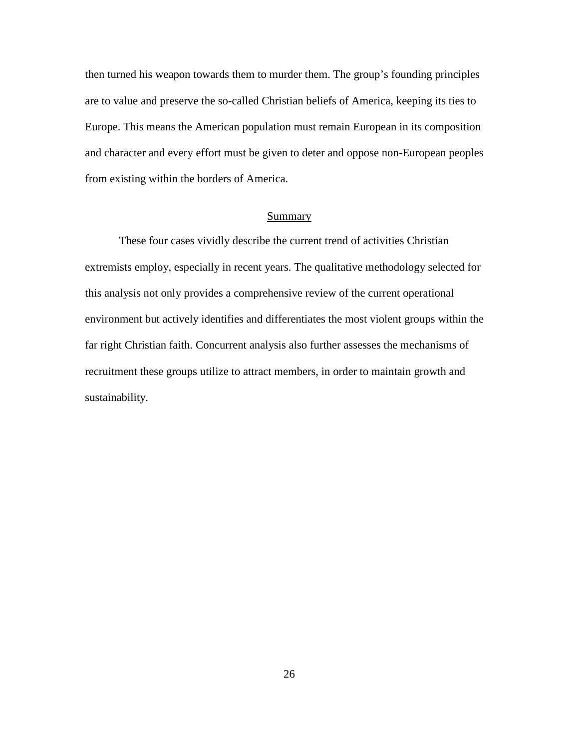then turned his weapon towards them to murder them. The group's founding principles are to value and preserve the so-called Christian beliefs of America, keeping its ties to Europe. This means the American population must remain European in its composition and character and every effort must be given to deter and oppose non-European peoples from existing within the borders of America.

## Summary

These four cases vividly describe the current trend of activities Christian extremists employ, especially in recent years. The qualitative methodology selected for this analysis not only provides a comprehensive review of the current operational environment but actively identifies and differentiates the most violent groups within the far right Christian faith. Concurrent analysis also further assesses the mechanisms of recruitment these groups utilize to attract members, in order to maintain growth and sustainability.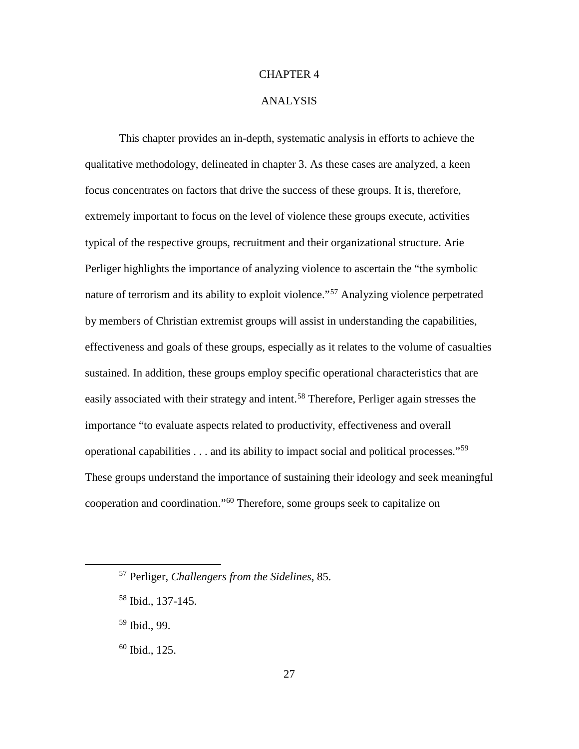## CHAPTER 4

#### ANALYSIS

This chapter provides an in-depth, systematic analysis in efforts to achieve the qualitative methodology, delineated in chapter 3. As these cases are analyzed, a keen focus concentrates on factors that drive the success of these groups. It is, therefore, extremely important to focus on the level of violence these groups execute, activities typical of the respective groups, recruitment and their organizational structure. Arie Perliger highlights the importance of analyzing violence to ascertain the "the symbolic nature of terrorism and its ability to exploit violence."[57](#page-35-0) Analyzing violence perpetrated by members of Christian extremist groups will assist in understanding the capabilities, effectiveness and goals of these groups, especially as it relates to the volume of casualties sustained. In addition, these groups employ specific operational characteristics that are easily associated with their strategy and intent.<sup>[58](#page-35-1)</sup> Therefore, Perliger again stresses the importance "to evaluate aspects related to productivity, effectiveness and overall operational capabilities  $\dots$  and its ability to impact social and political processes."<sup>[59](#page-35-2)</sup> These groups understand the importance of sustaining their ideology and seek meaningful cooperation and coordination."[60](#page-35-3) Therefore, some groups seek to capitalize on

<span id="page-35-0"></span> <sup>57</sup> Perliger, *Challengers from the Sidelines*, 85.

<span id="page-35-1"></span><sup>58</sup> Ibid., 137-145.

<span id="page-35-2"></span><sup>59</sup> Ibid., 99.

<span id="page-35-3"></span> $60$  Ibid., 125.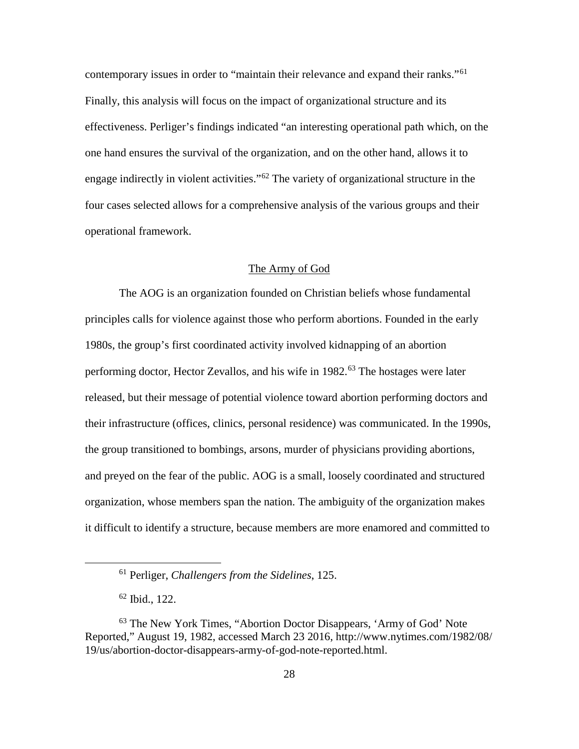contemporary issues in order to "maintain their relevance and expand their ranks."[61](#page-36-0) Finally, this analysis will focus on the impact of organizational structure and its effectiveness. Perliger's findings indicated "an interesting operational path which, on the one hand ensures the survival of the organization, and on the other hand, allows it to engage indirectly in violent activities."[62](#page-36-1) The variety of organizational structure in the four cases selected allows for a comprehensive analysis of the various groups and their operational framework.

## The Army of God

The AOG is an organization founded on Christian beliefs whose fundamental principles calls for violence against those who perform abortions. Founded in the early 1980s, the group's first coordinated activity involved kidnapping of an abortion performing doctor, Hector Zevallos, and his wife in  $1982$ <sup>[63](#page-36-2)</sup>. The hostages were later released, but their message of potential violence toward abortion performing doctors and their infrastructure (offices, clinics, personal residence) was communicated. In the 1990s, the group transitioned to bombings, arsons, murder of physicians providing abortions, and preyed on the fear of the public. AOG is a small, loosely coordinated and structured organization, whose members span the nation. The ambiguity of the organization makes it difficult to identify a structure, because members are more enamored and committed to

 <sup>61</sup> Perliger, *Challengers from the Sidelines*, 125.

<sup>62</sup> Ibid., 122.

<span id="page-36-2"></span><span id="page-36-1"></span><span id="page-36-0"></span><sup>&</sup>lt;sup>63</sup> The New York Times, "Abortion Doctor Disappears, 'Army of God' Note Reported," August 19, 1982, accessed March 23 2016, http://www.nytimes.com/1982/08/ 19/us/abortion-doctor-disappears-army-of-god-note-reported.html.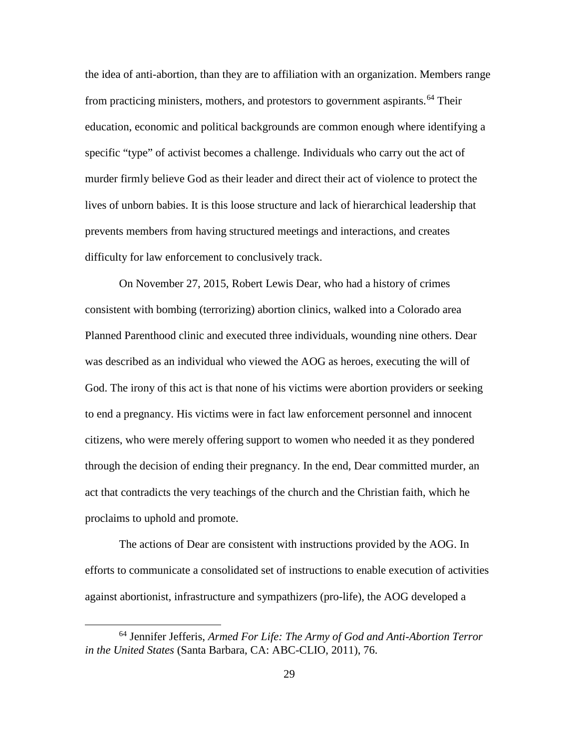the idea of anti-abortion, than they are to affiliation with an organization. Members range from practicing ministers, mothers, and protestors to government aspirants.<sup>[64](#page-37-0)</sup> Their education, economic and political backgrounds are common enough where identifying a specific "type" of activist becomes a challenge. Individuals who carry out the act of murder firmly believe God as their leader and direct their act of violence to protect the lives of unborn babies. It is this loose structure and lack of hierarchical leadership that prevents members from having structured meetings and interactions, and creates difficulty for law enforcement to conclusively track.

On November 27, 2015, Robert Lewis Dear, who had a history of crimes consistent with bombing (terrorizing) abortion clinics, walked into a Colorado area Planned Parenthood clinic and executed three individuals, wounding nine others. Dear was described as an individual who viewed the AOG as heroes, executing the will of God. The irony of this act is that none of his victims were abortion providers or seeking to end a pregnancy. His victims were in fact law enforcement personnel and innocent citizens, who were merely offering support to women who needed it as they pondered through the decision of ending their pregnancy. In the end, Dear committed murder, an act that contradicts the very teachings of the church and the Christian faith, which he proclaims to uphold and promote.

The actions of Dear are consistent with instructions provided by the AOG. In efforts to communicate a consolidated set of instructions to enable execution of activities against abortionist, infrastructure and sympathizers (pro-life), the AOG developed a

<span id="page-37-0"></span> <sup>64</sup> Jennifer Jefferis, *Armed For Life: The Army of God and Anti-Abortion Terror in the United States* (Santa Barbara, CA: ABC-CLIO, 2011), 76.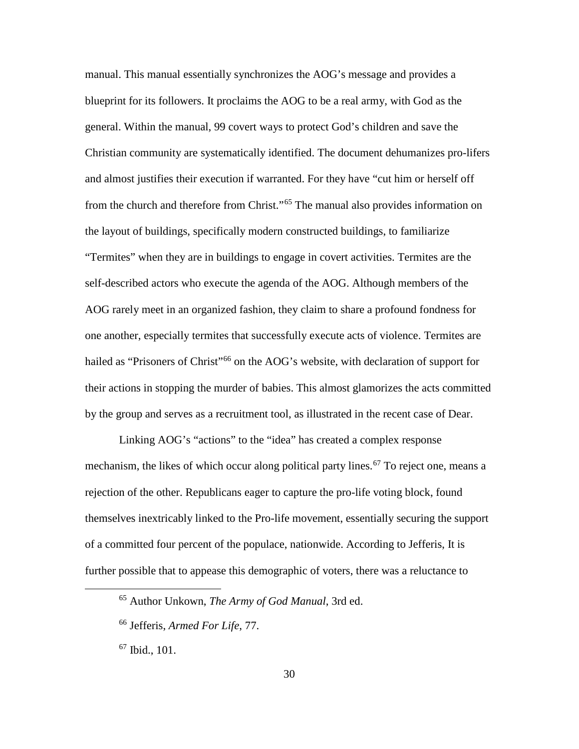manual. This manual essentially synchronizes the AOG's message and provides a blueprint for its followers. It proclaims the AOG to be a real army, with God as the general. Within the manual, 99 covert ways to protect God's children and save the Christian community are systematically identified. The document dehumanizes pro-lifers and almost justifies their execution if warranted. For they have "cut him or herself off from the church and therefore from Christ."[65](#page-38-0) The manual also provides information on the layout of buildings, specifically modern constructed buildings, to familiarize "Termites" when they are in buildings to engage in covert activities. Termites are the self-described actors who execute the agenda of the AOG. Although members of the AOG rarely meet in an organized fashion, they claim to share a profound fondness for one another, especially termites that successfully execute acts of violence. Termites are hailed as "Prisoners of Christ"<sup>[66](#page-38-1)</sup> on the AOG's website, with declaration of support for their actions in stopping the murder of babies. This almost glamorizes the acts committed by the group and serves as a recruitment tool, as illustrated in the recent case of Dear.

Linking AOG's "actions" to the "idea" has created a complex response mechanism, the likes of which occur along political party lines.<sup>[67](#page-38-2)</sup> To reject one, means a rejection of the other. Republicans eager to capture the pro-life voting block, found themselves inextricably linked to the Pro-life movement, essentially securing the support of a committed four percent of the populace, nationwide. According to Jefferis, It is further possible that to appease this demographic of voters, there was a reluctance to

<span id="page-38-0"></span> <sup>65</sup> Author Unkown, *The Army of God Manual*, 3rd ed.

<span id="page-38-1"></span><sup>66</sup> Jefferis, *Armed For Life*, 77.

<span id="page-38-2"></span> $67$  Ibid., 101.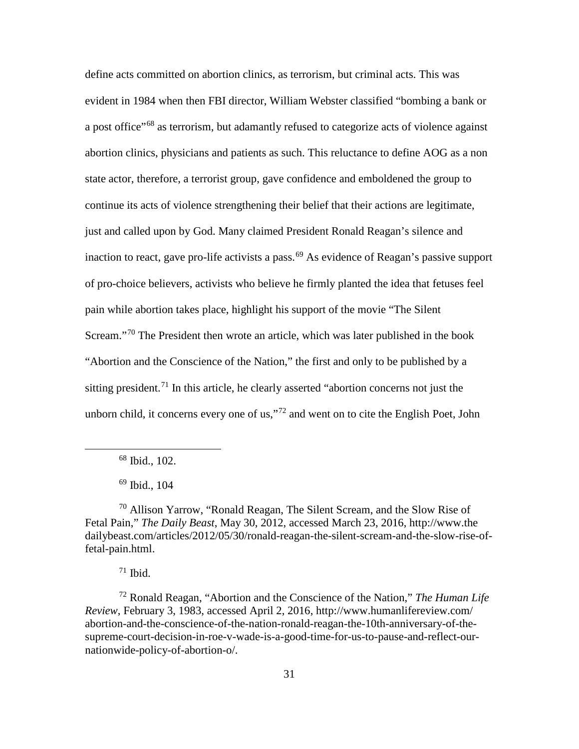define acts committed on abortion clinics, as terrorism, but criminal acts. This was evident in 1984 when then FBI director, William Webster classified "bombing a bank or a post office"<sup>[68](#page-39-0)</sup> as terrorism, but adamantly refused to categorize acts of violence against abortion clinics, physicians and patients as such. This reluctance to define AOG as a non state actor, therefore, a terrorist group, gave confidence and emboldened the group to continue its acts of violence strengthening their belief that their actions are legitimate, just and called upon by God. Many claimed President Ronald Reagan's silence and inaction to react, gave pro-life activists a pass.  $^{69}$  $^{69}$  $^{69}$  As evidence of Reagan's passive support of pro-choice believers, activists who believe he firmly planted the idea that fetuses feel pain while abortion takes place, highlight his support of the movie "The Silent Scream."<sup>[70](#page-39-2)</sup> The President then wrote an article, which was later published in the book "Abortion and the Conscience of the Nation," the first and only to be published by a sitting president.<sup>[71](#page-39-3)</sup> In this article, he clearly asserted "abortion concerns not just the unborn child, it concerns every one of us,"<sup>[72](#page-39-4)</sup> and went on to cite the English Poet, John

68 Ibid., 102.

<sup>69</sup> Ibid., 104

<span id="page-39-2"></span><span id="page-39-1"></span><span id="page-39-0"></span><sup>70</sup> Allison Yarrow, "Ronald Reagan, The Silent Scream, and the Slow Rise of Fetal Pain," *The Daily Beast*, May 30, 2012, accessed March 23, 2016, http://www.the dailybeast.com/articles/2012/05/30/ronald-reagan-the-silent-scream-and-the-slow-rise-offetal-pain.html.

 $71$  Ibid.

<span id="page-39-4"></span><span id="page-39-3"></span><sup>72</sup> Ronald Reagan, "Abortion and the Conscience of the Nation," *The Human Life Review*, February 3, 1983, accessed April 2, 2016, http://www.humanlifereview.com/ abortion-and-the-conscience-of-the-nation-ronald-reagan-the-10th-anniversary-of-thesupreme-court-decision-in-roe-v-wade-is-a-good-time-for-us-to-pause-and-reflect-ournationwide-policy-of-abortion-o/.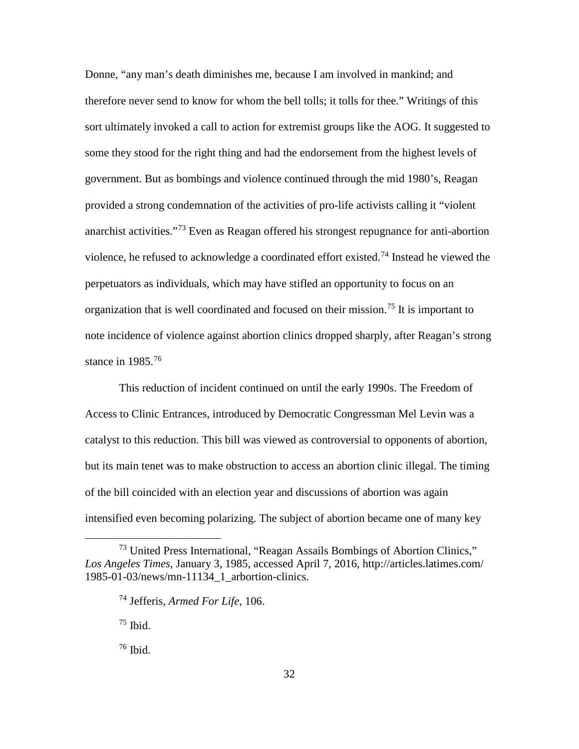Donne, "any man's death diminishes me, because I am involved in mankind; and therefore never send to know for whom the bell tolls; it tolls for thee." Writings of this sort ultimately invoked a call to action for extremist groups like the AOG. It suggested to some they stood for the right thing and had the endorsement from the highest levels of government. But as bombings and violence continued through the mid 1980's, Reagan provided a strong condemnation of the activities of pro-life activists calling it "violent anarchist activities."[73](#page-40-0) Even as Reagan offered his strongest repugnance for anti-abortion violence, he refused to acknowledge a coordinated effort existed.[74](#page-40-1) Instead he viewed the perpetuators as individuals, which may have stifled an opportunity to focus on an organization that is well coordinated and focused on their mission. [75](#page-40-2) It is important to note incidence of violence against abortion clinics dropped sharply, after Reagan's strong stance in  $1985$ <sup>[76](#page-40-3)</sup>

This reduction of incident continued on until the early 1990s. The Freedom of Access to Clinic Entrances, introduced by Democratic Congressman Mel Levin was a catalyst to this reduction. This bill was viewed as controversial to opponents of abortion, but its main tenet was to make obstruction to access an abortion clinic illegal. The timing of the bill coincided with an election year and discussions of abortion was again intensified even becoming polarizing. The subject of abortion became one of many key

 $75$  Ibid.

<span id="page-40-3"></span> $76$  Ibid.

<span id="page-40-2"></span><span id="page-40-1"></span><span id="page-40-0"></span><sup>&</sup>lt;sup>73</sup> United Press International, "Reagan Assails Bombings of Abortion Clinics," *Los Angeles Times*, January 3, 1985, accessed April 7, 2016, http://articles.latimes.com/ 1985-01-03/news/mn-11134\_1\_arbortion-clinics.

<sup>74</sup> Jefferis, *Armed For Life*, 106.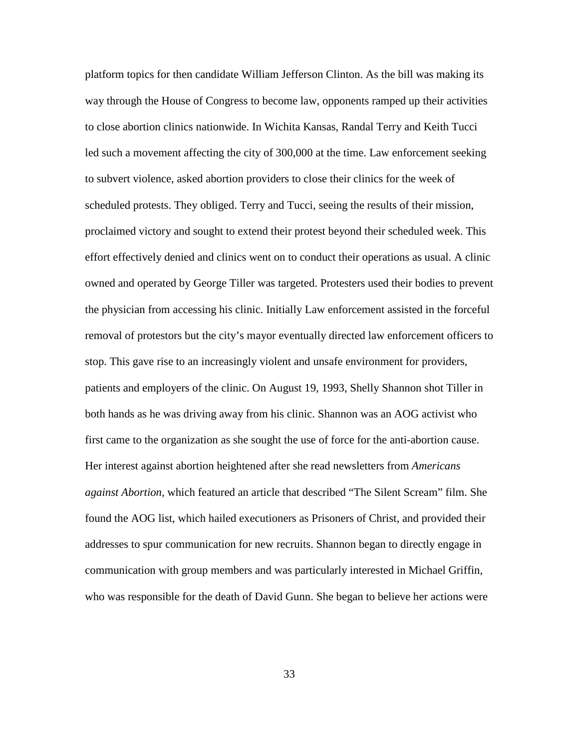platform topics for then candidate William Jefferson Clinton. As the bill was making its way through the House of Congress to become law, opponents ramped up their activities to close abortion clinics nationwide. In Wichita Kansas, Randal Terry and Keith Tucci led such a movement affecting the city of 300,000 at the time. Law enforcement seeking to subvert violence, asked abortion providers to close their clinics for the week of scheduled protests. They obliged. Terry and Tucci, seeing the results of their mission, proclaimed victory and sought to extend their protest beyond their scheduled week. This effort effectively denied and clinics went on to conduct their operations as usual. A clinic owned and operated by George Tiller was targeted. Protesters used their bodies to prevent the physician from accessing his clinic. Initially Law enforcement assisted in the forceful removal of protestors but the city's mayor eventually directed law enforcement officers to stop. This gave rise to an increasingly violent and unsafe environment for providers, patients and employers of the clinic. On August 19, 1993, Shelly Shannon shot Tiller in both hands as he was driving away from his clinic. Shannon was an AOG activist who first came to the organization as she sought the use of force for the anti-abortion cause. Her interest against abortion heightened after she read newsletters from *Americans against Abortion,* which featured an article that described "The Silent Scream" film. She found the AOG list, which hailed executioners as Prisoners of Christ, and provided their addresses to spur communication for new recruits. Shannon began to directly engage in communication with group members and was particularly interested in Michael Griffin, who was responsible for the death of David Gunn. She began to believe her actions were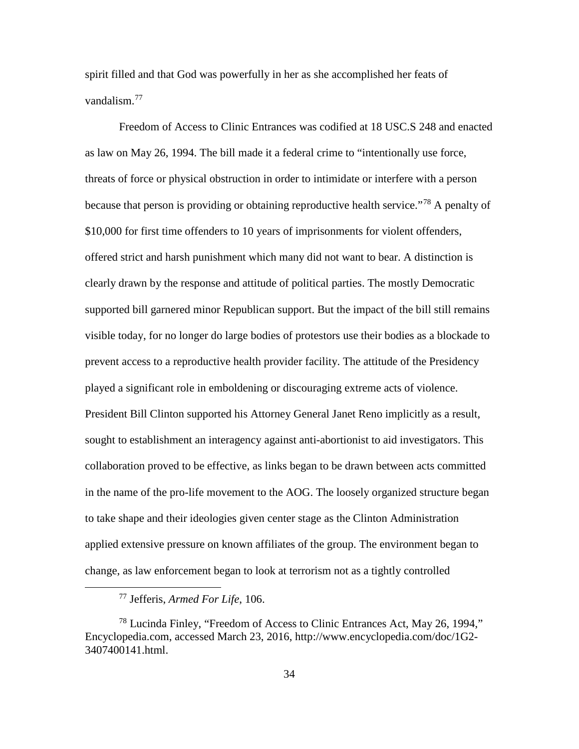spirit filled and that God was powerfully in her as she accomplished her feats of vandalism.[77](#page-42-0)

Freedom of Access to Clinic Entrances was codified at 18 USC.S 248 and enacted as law on May 26, 1994. The bill made it a federal crime to "intentionally use force, threats of force or physical obstruction in order to intimidate or interfere with a person because that person is providing or obtaining reproductive health service.<sup>"[78](#page-42-1)</sup> A penalty of \$10,000 for first time offenders to 10 years of imprisonments for violent offenders, offered strict and harsh punishment which many did not want to bear. A distinction is clearly drawn by the response and attitude of political parties. The mostly Democratic supported bill garnered minor Republican support. But the impact of the bill still remains visible today, for no longer do large bodies of protestors use their bodies as a blockade to prevent access to a reproductive health provider facility. The attitude of the Presidency played a significant role in emboldening or discouraging extreme acts of violence. President Bill Clinton supported his Attorney General Janet Reno implicitly as a result, sought to establishment an interagency against anti-abortionist to aid investigators. This collaboration proved to be effective, as links began to be drawn between acts committed in the name of the pro-life movement to the AOG. The loosely organized structure began to take shape and their ideologies given center stage as the Clinton Administration applied extensive pressure on known affiliates of the group. The environment began to change, as law enforcement began to look at terrorism not as a tightly controlled

 <sup>77</sup> Jefferis, *Armed For Life*, 106.

<span id="page-42-1"></span><span id="page-42-0"></span> $^{78}$  Lucinda Finley, "Freedom of Access to Clinic Entrances Act, May 26, 1994," Encyclopedia.com, accessed March 23, 2016, http://www.encyclopedia.com/doc/1G2- 3407400141.html.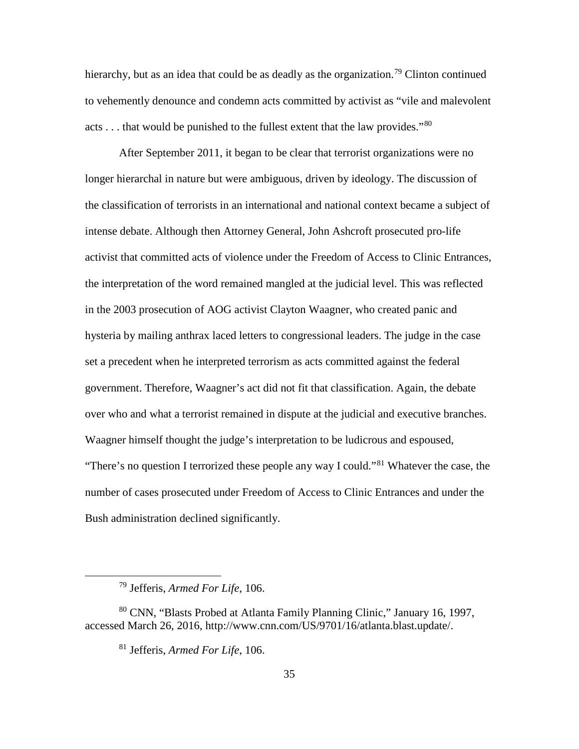hierarchy, but as an idea that could be as deadly as the organization.<sup>[79](#page-43-0)</sup> Clinton continued to vehemently denounce and condemn acts committed by activist as "vile and malevolent acts  $\dots$  that would be punished to the fullest extent that the law provides."<sup>[80](#page-43-1)</sup>

After September 2011, it began to be clear that terrorist organizations were no longer hierarchal in nature but were ambiguous, driven by ideology. The discussion of the classification of terrorists in an international and national context became a subject of intense debate. Although then Attorney General, John Ashcroft prosecuted pro-life activist that committed acts of violence under the Freedom of Access to Clinic Entrances, the interpretation of the word remained mangled at the judicial level. This was reflected in the 2003 prosecution of AOG activist Clayton Waagner, who created panic and hysteria by mailing anthrax laced letters to congressional leaders. The judge in the case set a precedent when he interpreted terrorism as acts committed against the federal government. Therefore, Waagner's act did not fit that classification. Again, the debate over who and what a terrorist remained in dispute at the judicial and executive branches. Waagner himself thought the judge's interpretation to be ludicrous and espoused, "There's no question I terrorized these people any way I could."[81](#page-43-2) Whatever the case, the number of cases prosecuted under Freedom of Access to Clinic Entrances and under the Bush administration declined significantly.

 <sup>79</sup> Jefferis, *Armed For Life*, 106.

<span id="page-43-2"></span><span id="page-43-1"></span><span id="page-43-0"></span><sup>80</sup> CNN, "Blasts Probed at Atlanta Family Planning Clinic," January 16, 1997, accessed March 26, 2016, http://www.cnn.com/US/9701/16/atlanta.blast.update/.

<sup>81</sup> Jefferis, *Armed For Life*, 106.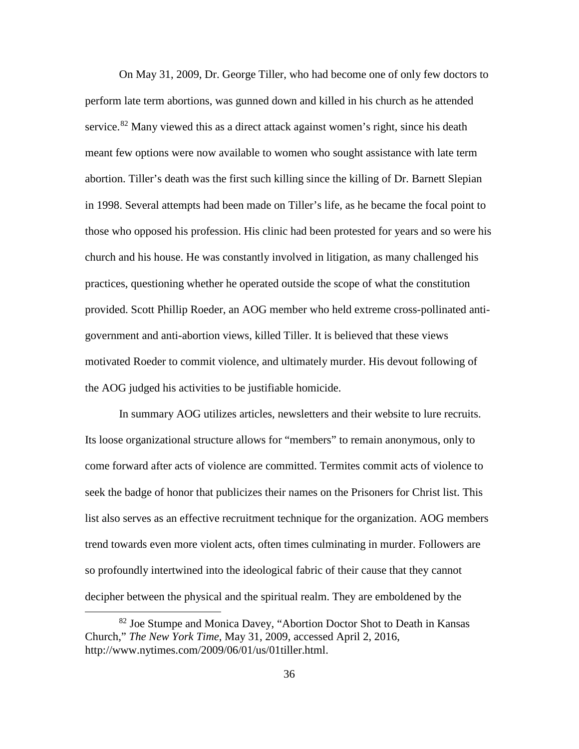On May 31, 2009, Dr. George Tiller, who had become one of only few doctors to perform late term abortions, was gunned down and killed in his church as he attended service.<sup>[82](#page-44-0)</sup> Many viewed this as a direct attack against women's right, since his death meant few options were now available to women who sought assistance with late term abortion. Tiller's death was the first such killing since the killing of Dr. Barnett Slepian in 1998. Several attempts had been made on Tiller's life, as he became the focal point to those who opposed his profession. His clinic had been protested for years and so were his church and his house. He was constantly involved in litigation, as many challenged his practices, questioning whether he operated outside the scope of what the constitution provided. Scott Phillip Roeder, an AOG member who held extreme cross-pollinated antigovernment and anti-abortion views, killed Tiller. It is believed that these views motivated Roeder to commit violence, and ultimately murder. His devout following of the AOG judged his activities to be justifiable homicide.

In summary AOG utilizes articles, newsletters and their website to lure recruits. Its loose organizational structure allows for "members" to remain anonymous, only to come forward after acts of violence are committed. Termites commit acts of violence to seek the badge of honor that publicizes their names on the Prisoners for Christ list. This list also serves as an effective recruitment technique for the organization. AOG members trend towards even more violent acts, often times culminating in murder. Followers are so profoundly intertwined into the ideological fabric of their cause that they cannot decipher between the physical and the spiritual realm. They are emboldened by the

<span id="page-44-0"></span><sup>&</sup>lt;sup>82</sup> Joe Stumpe and Monica Davey, "Abortion Doctor Shot to Death in Kansas Church," *The New York Time*, May 31, 2009, accessed April 2, 2016, http://www.nytimes.com/2009/06/01/us/01tiller.html.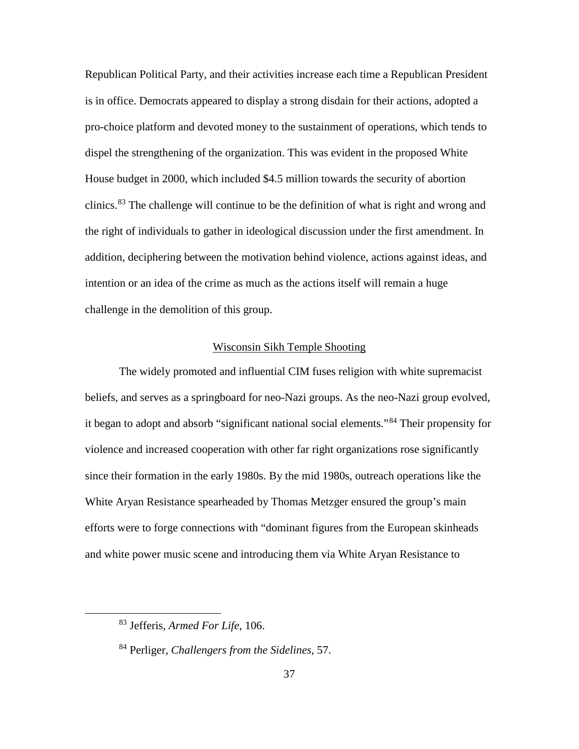Republican Political Party, and their activities increase each time a Republican President is in office. Democrats appeared to display a strong disdain for their actions, adopted a pro-choice platform and devoted money to the sustainment of operations, which tends to dispel the strengthening of the organization. This was evident in the proposed White House budget in 2000, which included \$4.5 million towards the security of abortion clinics.[83](#page-45-0) The challenge will continue to be the definition of what is right and wrong and the right of individuals to gather in ideological discussion under the first amendment. In addition, deciphering between the motivation behind violence, actions against ideas, and intention or an idea of the crime as much as the actions itself will remain a huge challenge in the demolition of this group.

## Wisconsin Sikh Temple Shooting

The widely promoted and influential CIM fuses religion with white supremacist beliefs, and serves as a springboard for neo-Nazi groups. As the neo-Nazi group evolved, it began to adopt and absorb "significant national social elements."[84](#page-45-1) Their propensity for violence and increased cooperation with other far right organizations rose significantly since their formation in the early 1980s. By the mid 1980s, outreach operations like the White Aryan Resistance spearheaded by Thomas Metzger ensured the group's main efforts were to forge connections with "dominant figures from the European skinheads and white power music scene and introducing them via White Aryan Resistance to

<span id="page-45-0"></span> <sup>83</sup> Jefferis, *Armed For Life*, 106.

<span id="page-45-1"></span><sup>84</sup> Perliger, *Challengers from the Sidelines*, 57.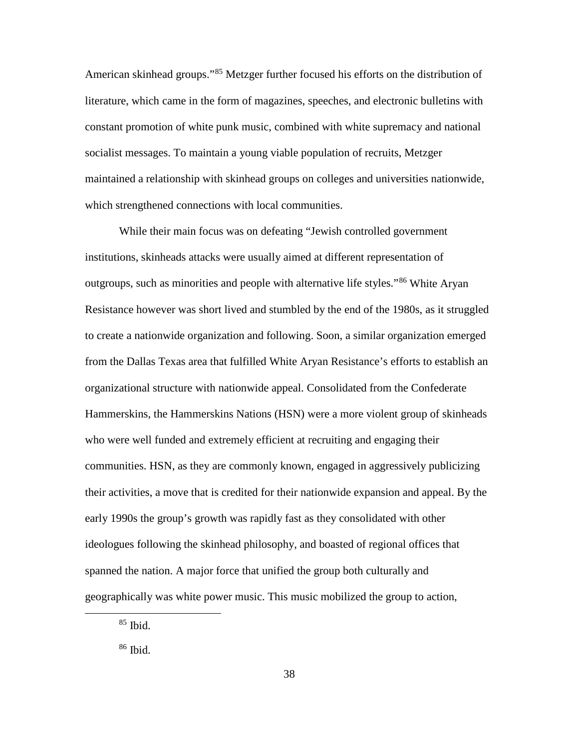American skinhead groups."<sup>[85](#page-46-0)</sup> Metzger further focused his efforts on the distribution of literature, which came in the form of magazines, speeches, and electronic bulletins with constant promotion of white punk music, combined with white supremacy and national socialist messages. To maintain a young viable population of recruits, Metzger maintained a relationship with skinhead groups on colleges and universities nationwide, which strengthened connections with local communities.

While their main focus was on defeating "Jewish controlled government institutions, skinheads attacks were usually aimed at different representation of outgroups, such as minorities and people with alternative life styles."<sup>[86](#page-46-1)</sup> White Aryan Resistance however was short lived and stumbled by the end of the 1980s, as it struggled to create a nationwide organization and following. Soon, a similar organization emerged from the Dallas Texas area that fulfilled White Aryan Resistance's efforts to establish an organizational structure with nationwide appeal. Consolidated from the Confederate Hammerskins, the Hammerskins Nations (HSN) were a more violent group of skinheads who were well funded and extremely efficient at recruiting and engaging their communities. HSN, as they are commonly known, engaged in aggressively publicizing their activities, a move that is credited for their nationwide expansion and appeal. By the early 1990s the group's growth was rapidly fast as they consolidated with other ideologues following the skinhead philosophy, and boasted of regional offices that spanned the nation. A major force that unified the group both culturally and geographically was white power music. This music mobilized the group to action,

<span id="page-46-0"></span> $85$  Ibid.

<span id="page-46-1"></span> $86$  Ibid.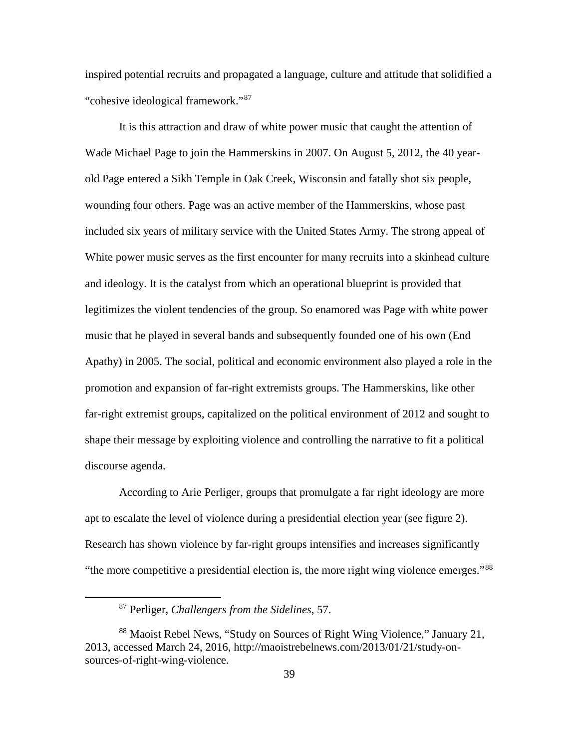inspired potential recruits and propagated a language, culture and attitude that solidified a "cohesive ideological framework."[87](#page-47-0)

It is this attraction and draw of white power music that caught the attention of Wade Michael Page to join the Hammerskins in 2007. On August 5, 2012, the 40 yearold Page entered a Sikh Temple in Oak Creek, Wisconsin and fatally shot six people, wounding four others. Page was an active member of the Hammerskins, whose past included six years of military service with the United States Army. The strong appeal of White power music serves as the first encounter for many recruits into a skinhead culture and ideology. It is the catalyst from which an operational blueprint is provided that legitimizes the violent tendencies of the group. So enamored was Page with white power music that he played in several bands and subsequently founded one of his own (End Apathy) in 2005. The social, political and economic environment also played a role in the promotion and expansion of far-right extremists groups. The Hammerskins, like other far-right extremist groups, capitalized on the political environment of 2012 and sought to shape their message by exploiting violence and controlling the narrative to fit a political discourse agenda.

According to Arie Perliger, groups that promulgate a far right ideology are more apt to escalate the level of violence during a presidential election year (see figure 2). Research has shown violence by far-right groups intensifies and increases significantly "the more competitive a presidential election is, the more right wing violence emerges."[88](#page-47-1)

 <sup>87</sup> Perliger, *Challengers from the Sidelines*, 57.

<span id="page-47-1"></span><span id="page-47-0"></span><sup>88</sup> Maoist Rebel News, "Study on Sources of Right Wing Violence," January 21, 2013, accessed March 24, 2016, http://maoistrebelnews.com/2013/01/21/study-onsources-of-right-wing-violence.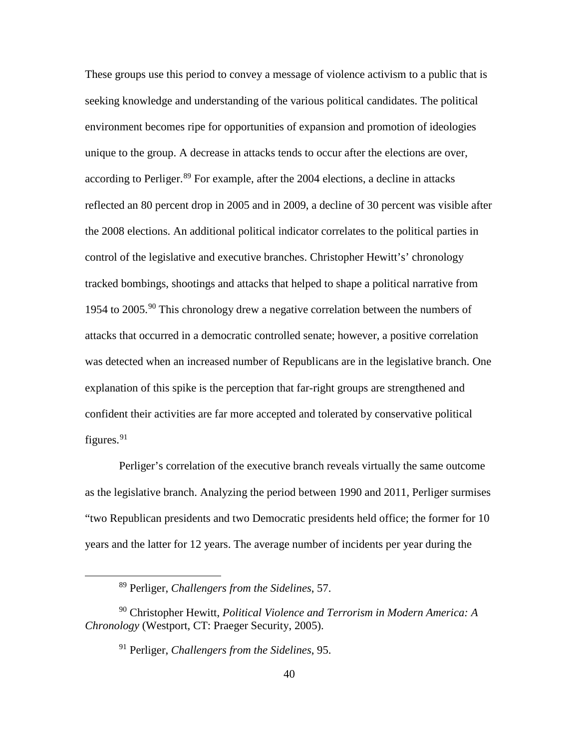These groups use this period to convey a message of violence activism to a public that is seeking knowledge and understanding of the various political candidates. The political environment becomes ripe for opportunities of expansion and promotion of ideologies unique to the group. A decrease in attacks tends to occur after the elections are over, according to Perliger.<sup>[89](#page-48-0)</sup> For example, after the 2004 elections, a decline in attacks reflected an 80 percent drop in 2005 and in 2009, a decline of 30 percent was visible after the 2008 elections. An additional political indicator correlates to the political parties in control of the legislative and executive branches. Christopher Hewitt's' chronology tracked bombings, shootings and attacks that helped to shape a political narrative from 1954 to 2005.<sup>[90](#page-48-1)</sup> This chronology drew a negative correlation between the numbers of attacks that occurred in a democratic controlled senate; however, a positive correlation was detected when an increased number of Republicans are in the legislative branch. One explanation of this spike is the perception that far-right groups are strengthened and confident their activities are far more accepted and tolerated by conservative political figures.<sup>[91](#page-48-2)</sup>

Perliger's correlation of the executive branch reveals virtually the same outcome as the legislative branch. Analyzing the period between 1990 and 2011, Perliger surmises "two Republican presidents and two Democratic presidents held office; the former for 10 years and the latter for 12 years. The average number of incidents per year during the

 <sup>89</sup> Perliger, *Challengers from the Sidelines*, 57.

<span id="page-48-2"></span><span id="page-48-1"></span><span id="page-48-0"></span><sup>90</sup> Christopher Hewitt, *Political Violence and Terrorism in Modern America: A Chronology* (Westport, CT: Praeger Security, 2005).

<sup>91</sup> Perliger, *Challengers from the Sidelines*, 95.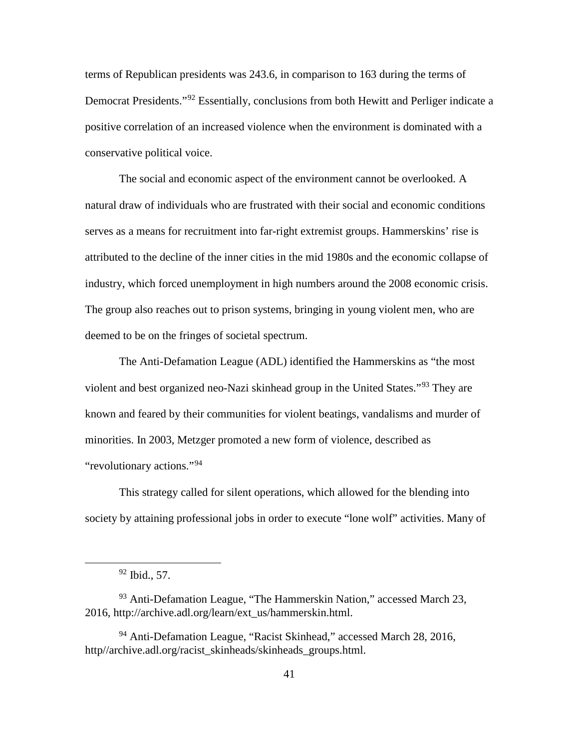terms of Republican presidents was 243.6, in comparison to 163 during the terms of Democrat Presidents."<sup>[92](#page-49-0)</sup> Essentially, conclusions from both Hewitt and Perliger indicate a positive correlation of an increased violence when the environment is dominated with a conservative political voice.

The social and economic aspect of the environment cannot be overlooked. A natural draw of individuals who are frustrated with their social and economic conditions serves as a means for recruitment into far-right extremist groups. Hammerskins' rise is attributed to the decline of the inner cities in the mid 1980s and the economic collapse of industry, which forced unemployment in high numbers around the 2008 economic crisis. The group also reaches out to prison systems, bringing in young violent men, who are deemed to be on the fringes of societal spectrum.

The Anti-Defamation League (ADL) identified the Hammerskins as "the most violent and best organized neo-Nazi skinhead group in the United States."[93](#page-49-1) They are known and feared by their communities for violent beatings, vandalisms and murder of minorities. In 2003, Metzger promoted a new form of violence, described as "revolutionary actions."[94](#page-49-2)

This strategy called for silent operations, which allowed for the blending into society by attaining professional jobs in order to execute "lone wolf" activities. Many of

 <sup>92</sup> Ibid., 57.

<span id="page-49-1"></span><span id="page-49-0"></span><sup>93</sup> Anti-Defamation League, "The Hammerskin Nation," accessed March 23, 2016, http://archive.adl.org/learn/ext\_us/hammerskin.html.

<span id="page-49-2"></span><sup>94</sup> Anti-Defamation League, "Racist Skinhead," accessed March 28, 2016, http//archive.adl.org/racist\_skinheads/skinheads\_groups.html.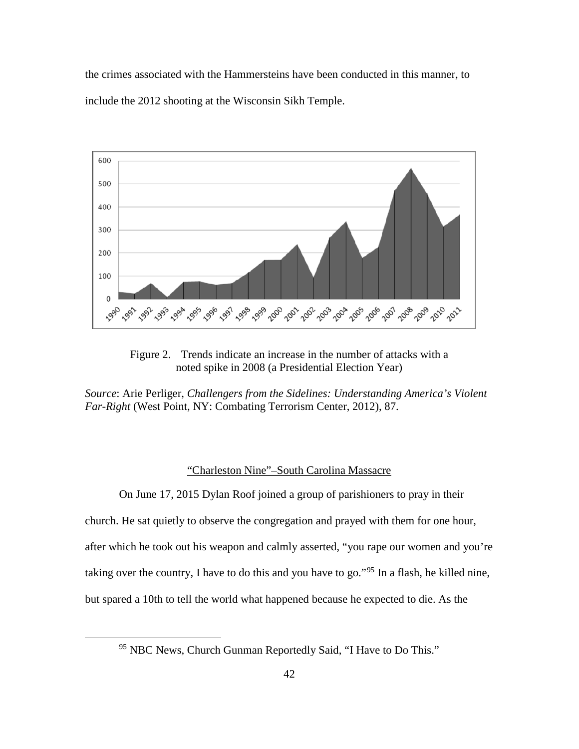the crimes associated with the Hammersteins have been conducted in this manner, to include the 2012 shooting at the Wisconsin Sikh Temple.



Figure 2. Trends indicate an increase in the number of attacks with a noted spike in 2008 (a Presidential Election Year)

*Source*: Arie Perliger, *Challengers from the Sidelines: Understanding America's Violent Far-Right* (West Point, NY: Combating Terrorism Center, 2012), 87.

## "Charleston Nine"–South Carolina Massacre

On June 17, 2015 Dylan Roof joined a group of parishioners to pray in their church. He sat quietly to observe the congregation and prayed with them for one hour, after which he took out his weapon and calmly asserted, "you rape our women and you're taking over the country, I have to do this and you have to go."[95](#page-50-0) In a flash, he killed nine, but spared a 10th to tell the world what happened because he expected to die. As the

<span id="page-50-0"></span><sup>&</sup>lt;sup>95</sup> NBC News, Church Gunman Reportedly Said, "I Have to Do This."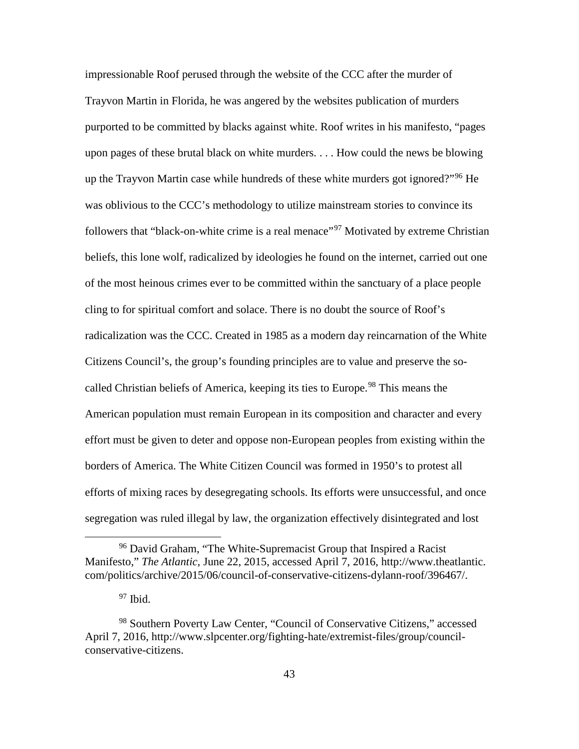impressionable Roof perused through the website of the CCC after the murder of Trayvon Martin in Florida, he was angered by the websites publication of murders purported to be committed by blacks against white. Roof writes in his manifesto, "pages upon pages of these brutal black on white murders. . . . How could the news be blowing up the Trayvon Martin case while hundreds of these white murders got ignored?"<sup>[96](#page-51-0)</sup> He was oblivious to the CCC's methodology to utilize mainstream stories to convince its followers that "black-on-white crime is a real menace"<sup>[97](#page-51-1)</sup> Motivated by extreme Christian beliefs, this lone wolf, radicalized by ideologies he found on the internet, carried out one of the most heinous crimes ever to be committed within the sanctuary of a place people cling to for spiritual comfort and solace. There is no doubt the source of Roof's radicalization was the CCC. Created in 1985 as a modern day reincarnation of the White Citizens Council's, the group's founding principles are to value and preserve the so-called Christian beliefs of America, keeping its ties to Europe.<sup>[98](#page-51-2)</sup> This means the American population must remain European in its composition and character and every effort must be given to deter and oppose non-European peoples from existing within the borders of America. The White Citizen Council was formed in 1950's to protest all efforts of mixing races by desegregating schools. Its efforts were unsuccessful, and once segregation was ruled illegal by law, the organization effectively disintegrated and lost

<span id="page-51-0"></span><sup>&</sup>lt;sup>96</sup> David Graham, "The White-Supremacist Group that Inspired a Racist Manifesto," *The Atlantic*, June 22, 2015, accessed April 7, 2016, [http://www.thea](http://www.the/)tlantic. com/politics/archive/2015/06/council-of-conservative-citizens-dylann-roof/396467/.

 $97$  Ibid.

<span id="page-51-2"></span><span id="page-51-1"></span><sup>98</sup> Southern Poverty Law Center, "Council of Conservative Citizens," accessed April 7, 2016, http://www.slpcenter.org/fighting-hate/extremist-files/group/councilconservative-citizens.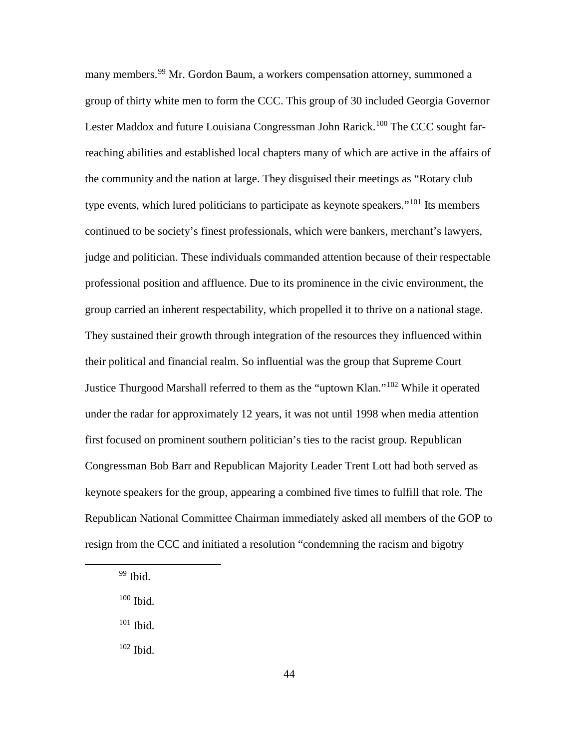many members.<sup>[99](#page-52-0)</sup> Mr. Gordon Baum, a workers compensation attorney, summoned a group of thirty white men to form the CCC. This group of 30 included Georgia Governor Lester Maddox and future Louisiana Congressman John Rarick.<sup>[100](#page-52-1)</sup> The CCC sought farreaching abilities and established local chapters many of which are active in the affairs of the community and the nation at large. They disguised their meetings as "Rotary club type events, which lured politicians to participate as keynote speakers."<sup>[101](#page-52-2)</sup> Its members continued to be society's finest professionals, which were bankers, merchant's lawyers, judge and politician. These individuals commanded attention because of their respectable professional position and affluence. Due to its prominence in the civic environment, the group carried an inherent respectability, which propelled it to thrive on a national stage. They sustained their growth through integration of the resources they influenced within their political and financial realm. So influential was the group that Supreme Court Justice Thurgood Marshall referred to them as the "uptown Klan."[102](#page-52-3) While it operated under the radar for approximately 12 years, it was not until 1998 when media attention first focused on prominent southern politician's ties to the racist group. Republican Congressman Bob Barr and Republican Majority Leader Trent Lott had both served as keynote speakers for the group, appearing a combined five times to fulfill that role. The Republican National Committee Chairman immediately asked all members of the GOP to resign from the CCC and initiated a resolution "condemning the racism and bigotry

- <span id="page-52-1"></span> $100$  Ibid.
- <span id="page-52-2"></span><sup>101</sup> Ibid.
- <span id="page-52-3"></span><sup>102</sup> Ibid.

<span id="page-52-0"></span> $99$  Ibid.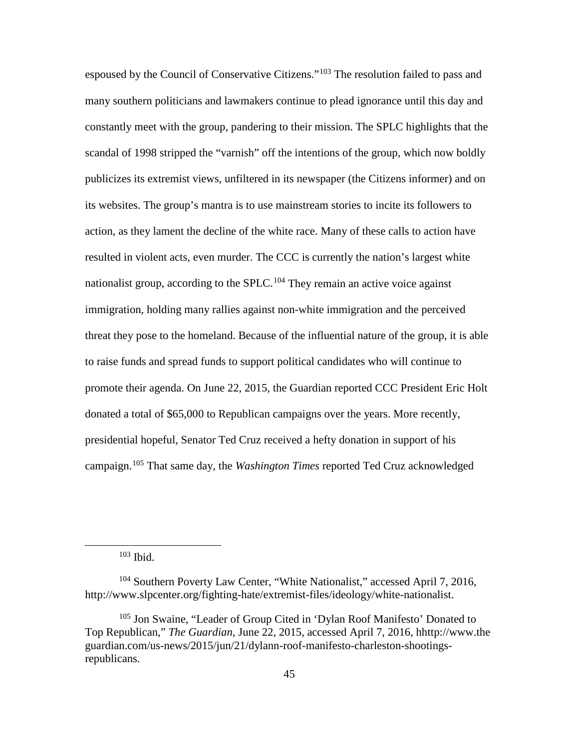espoused by the Council of Conservative Citizens."<sup>[103](#page-53-0)</sup> The resolution failed to pass and many southern politicians and lawmakers continue to plead ignorance until this day and constantly meet with the group, pandering to their mission. The SPLC highlights that the scandal of 1998 stripped the "varnish" off the intentions of the group, which now boldly publicizes its extremist views, unfiltered in its newspaper (the Citizens informer) and on its websites. The group's mantra is to use mainstream stories to incite its followers to action, as they lament the decline of the white race. Many of these calls to action have resulted in violent acts, even murder. The CCC is currently the nation's largest white nationalist group, according to the SPLC.<sup>[104](#page-53-1)</sup> They remain an active voice against immigration, holding many rallies against non-white immigration and the perceived threat they pose to the homeland. Because of the influential nature of the group, it is able to raise funds and spread funds to support political candidates who will continue to promote their agenda. On June 22, 2015, the Guardian reported CCC President Eric Holt donated a total of \$65,000 to Republican campaigns over the years. More recently, presidential hopeful, Senator Ted Cruz received a hefty donation in support of his campaign. [105](#page-53-2) That same day, the *Washington Times* reported Ted Cruz acknowledged

103 Ibid.

<span id="page-53-1"></span><span id="page-53-0"></span><sup>&</sup>lt;sup>104</sup> Southern Poverty Law Center, "White Nationalist," accessed April 7, 2016, http://www.slpcenter.org/fighting-hate/extremist-files/ideology/white-nationalist.

<span id="page-53-2"></span><sup>&</sup>lt;sup>105</sup> Jon Swaine, "Leader of Group Cited in 'Dylan Roof Manifesto' Donated to Top Republican," *The Guardian*, June 22, 2015, accessed April 7, 2016, hhttp://www.the guardian.com/us-news/2015/jun/21/dylann-roof-manifesto-charleston-shootingsrepublicans.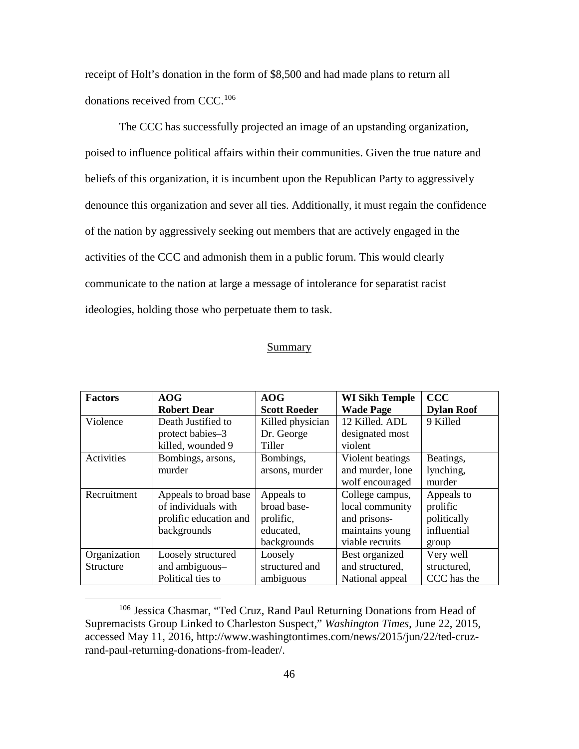receipt of Holt's donation in the form of \$8,500 and had made plans to return all donations received from CCC.<sup>[106](#page-54-0)</sup>

The CCC has successfully projected an image of an upstanding organization, poised to influence political affairs within their communities. Given the true nature and beliefs of this organization, it is incumbent upon the Republican Party to aggressively denounce this organization and sever all ties. Additionally, it must regain the confidence of the nation by aggressively seeking out members that are actively engaged in the activities of the CCC and admonish them in a public forum. This would clearly communicate to the nation at large a message of intolerance for separatist racist ideologies, holding those who perpetuate them to task.

### Summary

| <b>Factors</b>   | <b>AOG</b>             | AOG                 | <b>WI Sikh Temple</b> | <b>CCC</b>        |
|------------------|------------------------|---------------------|-----------------------|-------------------|
|                  | <b>Robert Dear</b>     | <b>Scott Roeder</b> | <b>Wade Page</b>      | <b>Dylan Roof</b> |
| Violence         | Death Justified to     | Killed physician    | 12 Killed. ADL        | 9 Killed          |
|                  | protect babies-3       | Dr. George          | designated most       |                   |
|                  | killed, wounded 9      | Tiller              | violent               |                   |
| Activities       | Bombings, arsons,      | Bombings,           | Violent beatings      | Beatings,         |
|                  | murder                 | arsons, murder      | and murder, lone      | lynching,         |
|                  |                        |                     | wolf encouraged       | murder            |
| Recruitment      | Appeals to broad base  | Appeals to          | College campus,       | Appeals to        |
|                  | of individuals with    | broad base-         | local community       | prolific          |
|                  | prolific education and | prolific,           | and prisons-          | politically       |
|                  | backgrounds            | educated,           | maintains young       | influential       |
|                  |                        | backgrounds         | viable recruits       | group             |
| Organization     | Loosely structured     | Loosely             | Best organized        | Very well         |
| <b>Structure</b> | and ambiguous-         | structured and      | and structured.       | structured,       |
|                  | Political ties to      | ambiguous           | National appeal       | CCC has the       |

<span id="page-54-0"></span> <sup>106</sup> Jessica Chasmar, "Ted Cruz, Rand Paul Returning Donations from Head of Supremacists Group Linked to Charleston Suspect," *Washington Times*, June 22, 2015, accessed May 11, 2016, http://www.washingtontimes.com/news/2015/jun/22/ted-cruzrand-paul-returning-donations-from-leader/.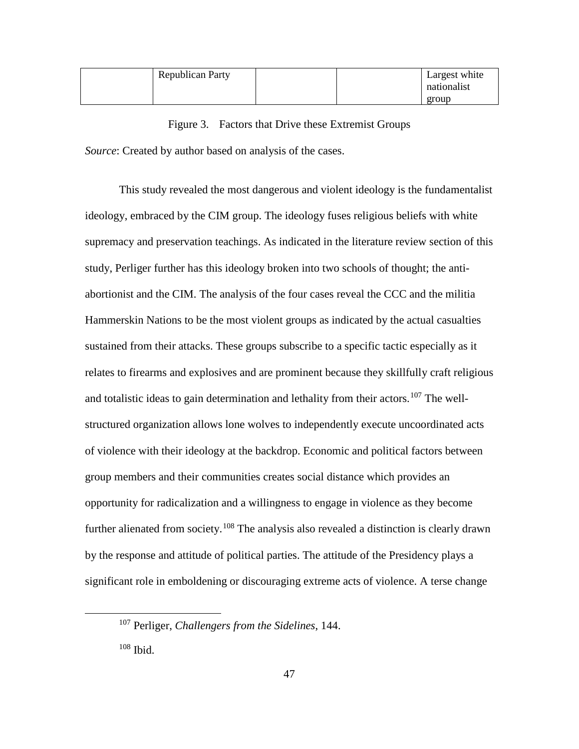| <b>Republican Party</b> |  | Largest white |
|-------------------------|--|---------------|
|                         |  | nationalist   |
|                         |  | group         |

Figure 3. Factors that Drive these Extremist Groups *Source*: Created by author based on analysis of the cases.

This study revealed the most dangerous and violent ideology is the fundamentalist ideology, embraced by the CIM group. The ideology fuses religious beliefs with white supremacy and preservation teachings. As indicated in the literature review section of this study, Perliger further has this ideology broken into two schools of thought; the antiabortionist and the CIM. The analysis of the four cases reveal the CCC and the militia Hammerskin Nations to be the most violent groups as indicated by the actual casualties sustained from their attacks. These groups subscribe to a specific tactic especially as it relates to firearms and explosives and are prominent because they skillfully craft religious and totalistic ideas to gain determination and lethality from their actors.<sup>[107](#page-55-0)</sup> The wellstructured organization allows lone wolves to independently execute uncoordinated acts of violence with their ideology at the backdrop. Economic and political factors between group members and their communities creates social distance which provides an opportunity for radicalization and a willingness to engage in violence as they become further alienated from society.<sup>[108](#page-55-1)</sup> The analysis also revealed a distinction is clearly drawn by the response and attitude of political parties. The attitude of the Presidency plays a significant role in emboldening or discouraging extreme acts of violence. A terse change

<span id="page-55-0"></span> <sup>107</sup> Perliger, *Challengers from the Sidelines*, 144.

<span id="page-55-1"></span><sup>108</sup> Ibid.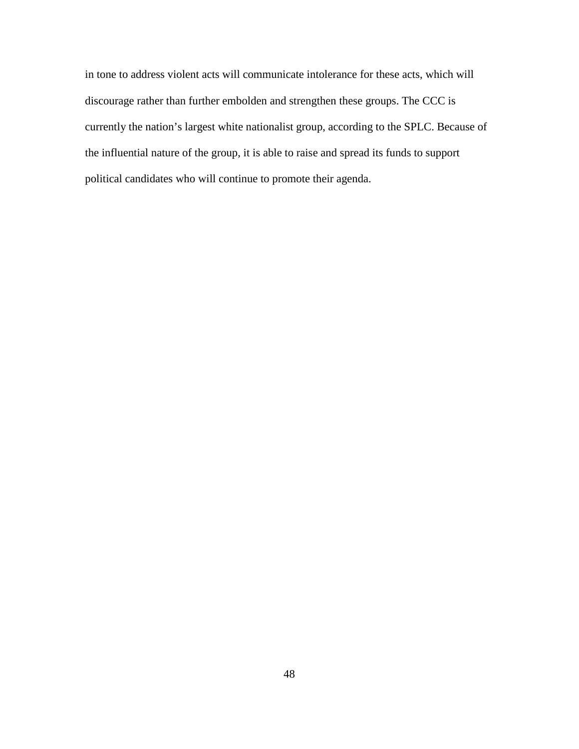in tone to address violent acts will communicate intolerance for these acts, which will discourage rather than further embolden and strengthen these groups. The CCC is currently the nation's largest white nationalist group, according to the SPLC. Because of the influential nature of the group, it is able to raise and spread its funds to support political candidates who will continue to promote their agenda.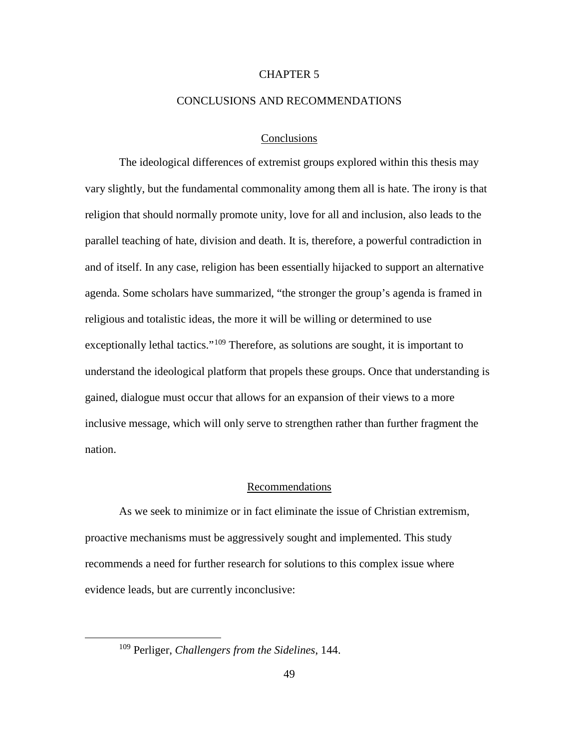## CHAPTER 5

#### CONCLUSIONS AND RECOMMENDATIONS

#### Conclusions

The ideological differences of extremist groups explored within this thesis may vary slightly, but the fundamental commonality among them all is hate. The irony is that religion that should normally promote unity, love for all and inclusion, also leads to the parallel teaching of hate, division and death. It is, therefore, a powerful contradiction in and of itself. In any case, religion has been essentially hijacked to support an alternative agenda. Some scholars have summarized, "the stronger the group's agenda is framed in religious and totalistic ideas, the more it will be willing or determined to use exceptionally lethal tactics."<sup>[109](#page-57-0)</sup> Therefore, as solutions are sought, it is important to understand the ideological platform that propels these groups. Once that understanding is gained, dialogue must occur that allows for an expansion of their views to a more inclusive message, which will only serve to strengthen rather than further fragment the nation.

## Recommendations

As we seek to minimize or in fact eliminate the issue of Christian extremism, proactive mechanisms must be aggressively sought and implemented. This study recommends a need for further research for solutions to this complex issue where evidence leads, but are currently inconclusive:

<span id="page-57-0"></span> <sup>109</sup> Perliger, *Challengers from the Sidelines*, 144.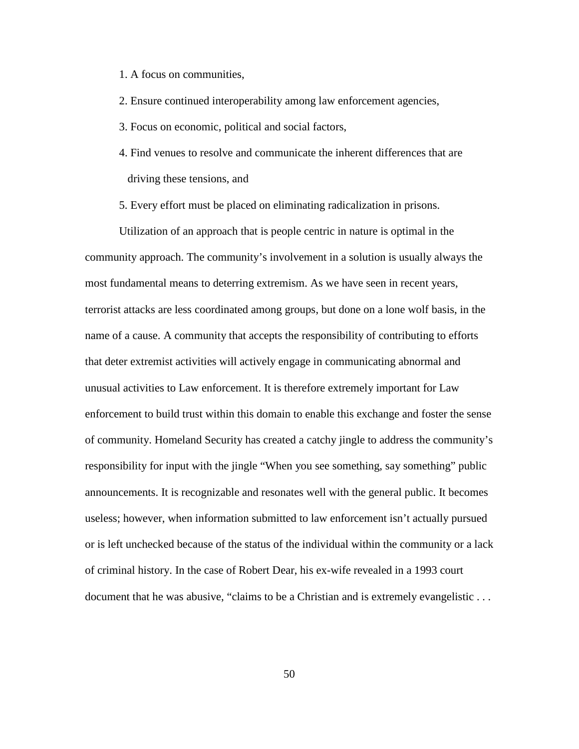- 1. A focus on communities,
- 2. Ensure continued interoperability among law enforcement agencies,
- 3. Focus on economic, political and social factors,
- 4. Find venues to resolve and communicate the inherent differences that are driving these tensions, and
- 5. Every effort must be placed on eliminating radicalization in prisons.

Utilization of an approach that is people centric in nature is optimal in the community approach. The community's involvement in a solution is usually always the most fundamental means to deterring extremism. As we have seen in recent years, terrorist attacks are less coordinated among groups, but done on a lone wolf basis, in the name of a cause. A community that accepts the responsibility of contributing to efforts that deter extremist activities will actively engage in communicating abnormal and unusual activities to Law enforcement. It is therefore extremely important for Law enforcement to build trust within this domain to enable this exchange and foster the sense of community. Homeland Security has created a catchy jingle to address the community's responsibility for input with the jingle "When you see something, say something" public announcements. It is recognizable and resonates well with the general public. It becomes useless; however, when information submitted to law enforcement isn't actually pursued or is left unchecked because of the status of the individual within the community or a lack of criminal history. In the case of Robert Dear, his ex-wife revealed in a 1993 court document that he was abusive, "claims to be a Christian and is extremely evangelistic . . .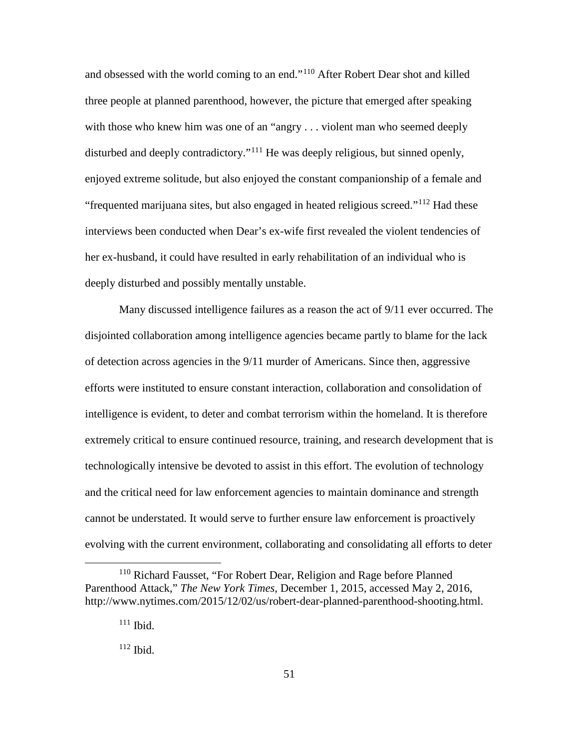and obsessed with the world coming to an end."[110](#page-59-0) After Robert Dear shot and killed three people at planned parenthood, however, the picture that emerged after speaking with those who knew him was one of an "angry . . . violent man who seemed deeply disturbed and deeply contradictory."<sup>[111](#page-59-1)</sup> He was deeply religious, but sinned openly, enjoyed extreme solitude, but also enjoyed the constant companionship of a female and "frequented marijuana sites, but also engaged in heated religious screed."<sup>[112](#page-59-2)</sup> Had these interviews been conducted when Dear's ex-wife first revealed the violent tendencies of her ex-husband, it could have resulted in early rehabilitation of an individual who is deeply disturbed and possibly mentally unstable.

Many discussed intelligence failures as a reason the act of 9/11 ever occurred. The disjointed collaboration among intelligence agencies became partly to blame for the lack of detection across agencies in the 9/11 murder of Americans. Since then, aggressive efforts were instituted to ensure constant interaction, collaboration and consolidation of intelligence is evident, to deter and combat terrorism within the homeland. It is therefore extremely critical to ensure continued resource, training, and research development that is technologically intensive be devoted to assist in this effort. The evolution of technology and the critical need for law enforcement agencies to maintain dominance and strength cannot be understated. It would serve to further ensure law enforcement is proactively evolving with the current environment, collaborating and consolidating all efforts to deter

<span id="page-59-2"></span><span id="page-59-1"></span><span id="page-59-0"></span><sup>&</sup>lt;sup>110</sup> Richard Fausset, "For Robert Dear, Religion and Rage before Planned Parenthood Attack," *The New York Times*, December 1, 2015, accessed May 2, 2016, http://www.nytimes.com/2015/12/02/us/robert-dear-planned-parenthood-shooting.html.

 $111$  Ibid.

 $112$  Ibid.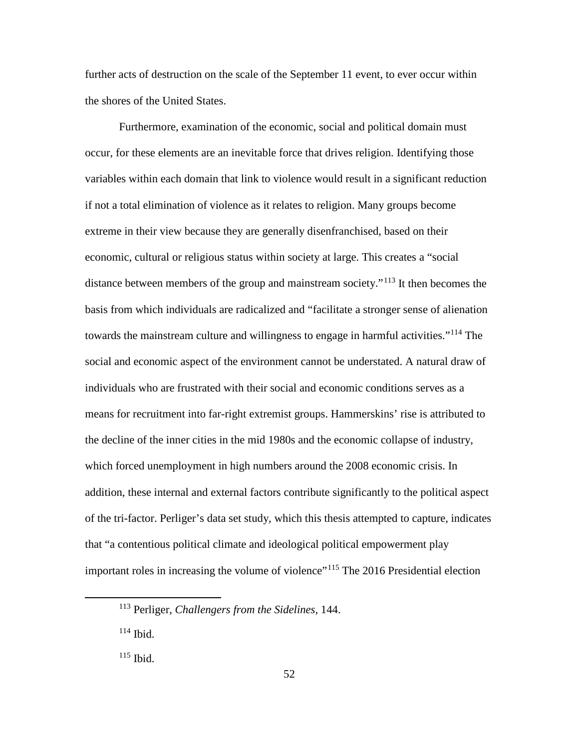further acts of destruction on the scale of the September 11 event, to ever occur within the shores of the United States.

Furthermore, examination of the economic, social and political domain must occur, for these elements are an inevitable force that drives religion. Identifying those variables within each domain that link to violence would result in a significant reduction if not a total elimination of violence as it relates to religion. Many groups become extreme in their view because they are generally disenfranchised, based on their economic, cultural or religious status within society at large. This creates a "social distance between members of the group and mainstream society."[113](#page-60-0) It then becomes the basis from which individuals are radicalized and "facilitate a stronger sense of alienation towards the mainstream culture and willingness to engage in harmful activities."<sup>[114](#page-60-1)</sup> The social and economic aspect of the environment cannot be understated. A natural draw of individuals who are frustrated with their social and economic conditions serves as a means for recruitment into far-right extremist groups. Hammerskins' rise is attributed to the decline of the inner cities in the mid 1980s and the economic collapse of industry, which forced unemployment in high numbers around the 2008 economic crisis. In addition, these internal and external factors contribute significantly to the political aspect of the tri-factor. Perliger's data set study, which this thesis attempted to capture, indicates that "a contentious political climate and ideological political empowerment play important roles in increasing the volume of violence"<sup>[115](#page-60-2)</sup> The 2016 Presidential election

<span id="page-60-0"></span> <sup>113</sup> Perliger, *Challengers from the Sidelines*, 144.

<span id="page-60-1"></span> $114$  Ibid.

<span id="page-60-2"></span> $115$  Ibid.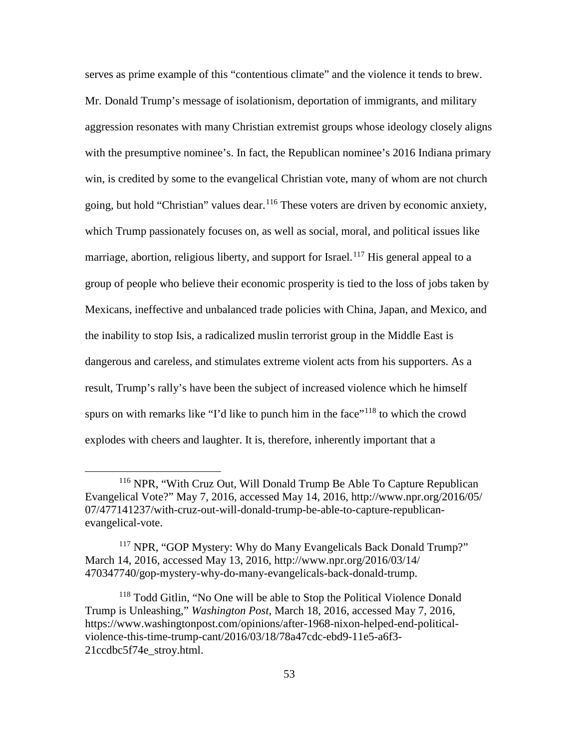serves as prime example of this "contentious climate" and the violence it tends to brew. Mr. Donald Trump's message of isolationism, deportation of immigrants, and military aggression resonates with many Christian extremist groups whose ideology closely aligns with the presumptive nominee's. In fact, the Republican nominee's 2016 Indiana primary win, is credited by some to the evangelical Christian vote, many of whom are not church going, but hold "Christian" values dear.<sup>[116](#page-61-0)</sup> These voters are driven by economic anxiety, which Trump passionately focuses on, as well as social, moral, and political issues like marriage, abortion, religious liberty, and support for Israel.<sup>[117](#page-61-1)</sup> His general appeal to a group of people who believe their economic prosperity is tied to the loss of jobs taken by Mexicans, ineffective and unbalanced trade policies with China, Japan, and Mexico, and the inability to stop Isis, a radicalized muslin terrorist group in the Middle East is dangerous and careless, and stimulates extreme violent acts from his supporters. As a result, Trump's rally's have been the subject of increased violence which he himself spurs on with remarks like "I'd like to punch him in the face"<sup>[118](#page-61-2)</sup> to which the crowd explodes with cheers and laughter. It is, therefore, inherently important that a

<span id="page-61-0"></span> <sup>116</sup> NPR, "With Cruz Out, Will Donald Trump Be Able To Capture Republican Evangelical Vote?" May 7, 2016, accessed May 14, 2016, http://www.npr.org/2016/05/ 07/477141237/with-cruz-out-will-donald-trump-be-able-to-capture-republicanevangelical-vote.

<span id="page-61-1"></span> $117$  NPR, "GOP Mystery: Why do Many Evangelicals Back Donald Trump?" March 14, 2016, accessed May 13, 2016, http://www.npr.org/2016/03/14/ 470347740/gop-mystery-why-do-many-evangelicals-back-donald-trump.

<span id="page-61-2"></span><sup>&</sup>lt;sup>118</sup> Todd Gitlin, "No One will be able to Stop the Political Violence Donald Trump is Unleashing," *Washington Post*, March 18, 2016, accessed May 7, 2016, https://www.washingtonpost.com/opinions/after-1968-nixon-helped-end-politicalviolence-this-time-trump-cant/2016/03/18/78a47cdc-ebd9-11e5-a6f3- 21ccdbc5f74e\_stroy.html.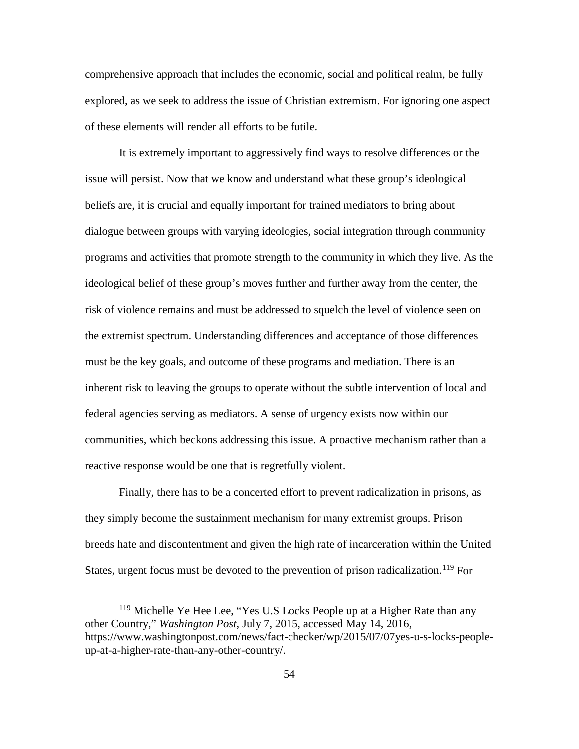comprehensive approach that includes the economic, social and political realm, be fully explored, as we seek to address the issue of Christian extremism. For ignoring one aspect of these elements will render all efforts to be futile.

It is extremely important to aggressively find ways to resolve differences or the issue will persist. Now that we know and understand what these group's ideological beliefs are, it is crucial and equally important for trained mediators to bring about dialogue between groups with varying ideologies, social integration through community programs and activities that promote strength to the community in which they live. As the ideological belief of these group's moves further and further away from the center, the risk of violence remains and must be addressed to squelch the level of violence seen on the extremist spectrum. Understanding differences and acceptance of those differences must be the key goals, and outcome of these programs and mediation. There is an inherent risk to leaving the groups to operate without the subtle intervention of local and federal agencies serving as mediators. A sense of urgency exists now within our communities, which beckons addressing this issue. A proactive mechanism rather than a reactive response would be one that is regretfully violent.

Finally, there has to be a concerted effort to prevent radicalization in prisons, as they simply become the sustainment mechanism for many extremist groups. Prison breeds hate and discontentment and given the high rate of incarceration within the United States, urgent focus must be devoted to the prevention of prison radicalization.<sup>[119](#page-62-0)</sup> For

<span id="page-62-0"></span><sup>&</sup>lt;sup>119</sup> Michelle Ye Hee Lee, "Yes U.S Locks People up at a Higher Rate than any other Country," *Washington Post*, July 7, 2015, accessed May 14, 2016, https://www.washingtonpost.com/news/fact-checker/wp/2015/07/07yes-u-s-locks-peopleup-at-a-higher-rate-than-any-other-country/.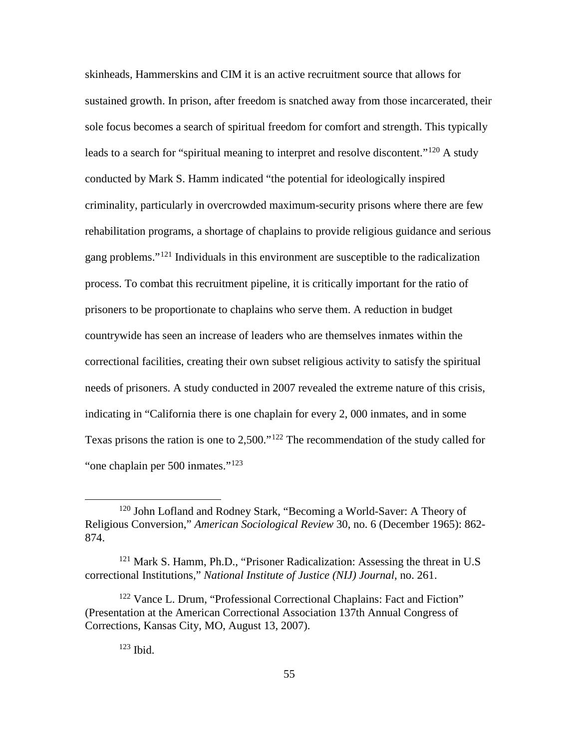skinheads, Hammerskins and CIM it is an active recruitment source that allows for sustained growth. In prison, after freedom is snatched away from those incarcerated, their sole focus becomes a search of spiritual freedom for comfort and strength. This typically leads to a search for "spiritual meaning to interpret and resolve discontent."<sup>[120](#page-63-0)</sup> A study conducted by Mark S. Hamm indicated "the potential for ideologically inspired criminality, particularly in overcrowded maximum-security prisons where there are few rehabilitation programs, a shortage of chaplains to provide religious guidance and serious gang problems."[121](#page-63-1) Individuals in this environment are susceptible to the radicalization process. To combat this recruitment pipeline, it is critically important for the ratio of prisoners to be proportionate to chaplains who serve them. A reduction in budget countrywide has seen an increase of leaders who are themselves inmates within the correctional facilities, creating their own subset religious activity to satisfy the spiritual needs of prisoners. A study conducted in 2007 revealed the extreme nature of this crisis, indicating in "California there is one chaplain for every 2, 000 inmates, and in some Texas prisons the ration is one to 2,500."<sup>[122](#page-63-2)</sup> The recommendation of the study called for "one chaplain per 500 inmates."[123](#page-63-3)

<span id="page-63-0"></span> <sup>120</sup> John Lofland and Rodney Stark, "Becoming a World-Saver: A Theory of Religious Conversion," *American Sociological Review* 30, no. 6 (December 1965): 862- 874.

<span id="page-63-1"></span><sup>121</sup> Mark S. Hamm, Ph.D., "Prisoner Radicalization: Assessing the threat in U.S correctional Institutions," *National Institute of Justice (NIJ) Journal*, no. 261.

<span id="page-63-3"></span><span id="page-63-2"></span><sup>122</sup> Vance L. Drum, "Professional Correctional Chaplains: Fact and Fiction" (Presentation at the American Correctional Association 137th Annual Congress of Corrections, Kansas City, MO, August 13, 2007).

<sup>123</sup> Ibid.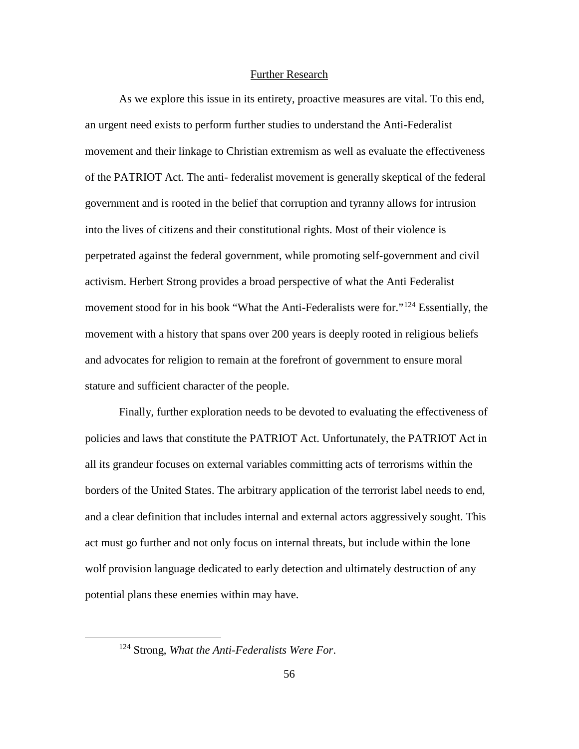#### Further Research

As we explore this issue in its entirety, proactive measures are vital. To this end, an urgent need exists to perform further studies to understand the Anti-Federalist movement and their linkage to Christian extremism as well as evaluate the effectiveness of the PATRIOT Act. The anti- federalist movement is generally skeptical of the federal government and is rooted in the belief that corruption and tyranny allows for intrusion into the lives of citizens and their constitutional rights. Most of their violence is perpetrated against the federal government, while promoting self-government and civil activism. Herbert Strong provides a broad perspective of what the Anti Federalist movement stood for in his book "What the Anti-Federalists were for."[124](#page-64-0) Essentially, the movement with a history that spans over 200 years is deeply rooted in religious beliefs and advocates for religion to remain at the forefront of government to ensure moral stature and sufficient character of the people.

Finally, further exploration needs to be devoted to evaluating the effectiveness of policies and laws that constitute the PATRIOT Act. Unfortunately, the PATRIOT Act in all its grandeur focuses on external variables committing acts of terrorisms within the borders of the United States. The arbitrary application of the terrorist label needs to end, and a clear definition that includes internal and external actors aggressively sought. This act must go further and not only focus on internal threats, but include within the lone wolf provision language dedicated to early detection and ultimately destruction of any potential plans these enemies within may have.

<span id="page-64-0"></span> <sup>124</sup> Strong, *What the Anti-Federalists Were For*.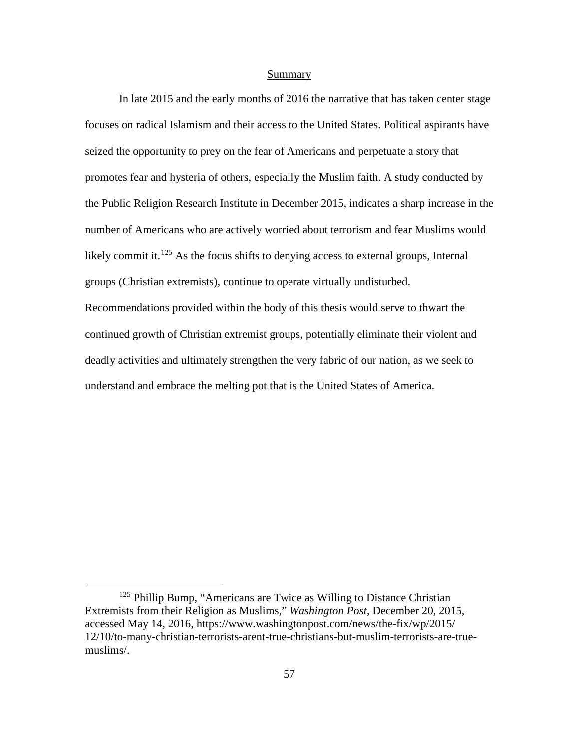#### Summary

In late 2015 and the early months of 2016 the narrative that has taken center stage focuses on radical Islamism and their access to the United States. Political aspirants have seized the opportunity to prey on the fear of Americans and perpetuate a story that promotes fear and hysteria of others, especially the Muslim faith. A study conducted by the Public Religion Research Institute in December 2015, indicates a sharp increase in the number of Americans who are actively worried about terrorism and fear Muslims would likely commit it.<sup>[125](#page-65-0)</sup> As the focus shifts to denying access to external groups, Internal groups (Christian extremists), continue to operate virtually undisturbed. Recommendations provided within the body of this thesis would serve to thwart the continued growth of Christian extremist groups, potentially eliminate their violent and deadly activities and ultimately strengthen the very fabric of our nation, as we seek to understand and embrace the melting pot that is the United States of America.

<span id="page-65-0"></span> $125$  Phillip Bump, "Americans are Twice as Willing to Distance Christian Extremists from their Religion as Muslims," *Washington Post*, December 20, 2015, accessed May 14, 2016, https://www.washingtonpost.com/news/the-fix/wp/2015/ 12/10/to-many-christian-terrorists-arent-true-christians-but-muslim-terrorists-are-truemuslims/.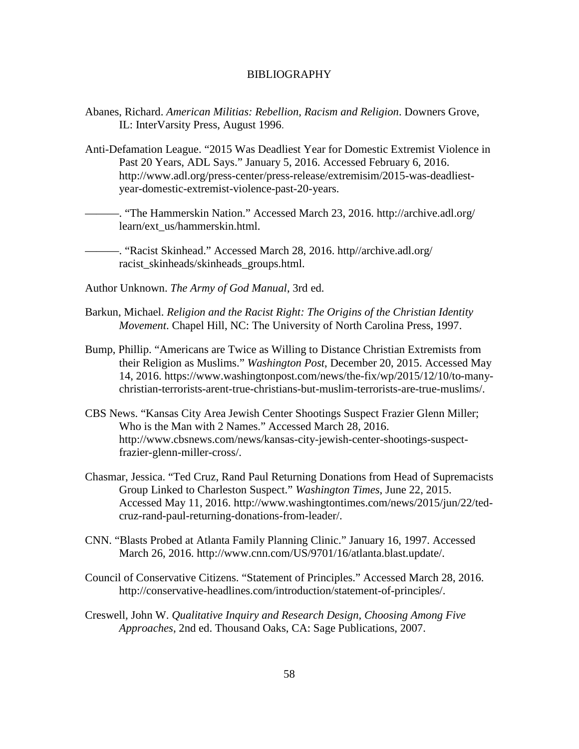#### BIBLIOGRAPHY

- Abanes, Richard. *American Militias: Rebellion, Racism and Religion*. Downers Grove, IL: InterVarsity Press, August 1996.
- Anti-Defamation League. "2015 Was Deadliest Year for Domestic Extremist Violence in Past 20 Years, ADL Says." January 5, 2016. Accessed February 6, 2016. http://www.adl.org/press-center/press-release/extremisim/2015-was-deadliestyear-domestic-extremist-violence-past-20-years.

———. "The Hammerskin Nation." Accessed March 23, 2016. http://archive.adl.org/ learn/ext\_us/hammerskin.html.

———. "Racist Skinhead." Accessed March 28, 2016. http//archive.adl.org/ racist skinheads/skinheads groups.html.

- Author Unknown. *The Army of God Manual*, 3rd ed.
- Barkun, Michael. *Religion and the Racist Right: The Origins of the Christian Identity Movement*. Chapel Hill, NC: The University of North Carolina Press, 1997.
- Bump, Phillip. "Americans are Twice as Willing to Distance Christian Extremists from their Religion as Muslims." *Washington Post*, December 20, 2015. Accessed May 14, 2016. https://www.washingtonpost.com/news/the-fix/wp/2015/12/10/to-manychristian-terrorists-arent-true-christians-but-muslim-terrorists-are-true-muslims/.
- CBS News. "Kansas City Area Jewish Center Shootings Suspect Frazier Glenn Miller; Who is the Man with 2 Names." Accessed March 28, 2016. http://www.cbsnews.com/news/kansas-city-jewish-center-shootings-suspectfrazier-glenn-miller-cross/.
- Chasmar, Jessica. "Ted Cruz, Rand Paul Returning Donations from Head of Supremacists Group Linked to Charleston Suspect." *Washington Times*, June 22, 2015. Accessed May 11, 2016. http://www.washingtontimes.com/news/2015/jun/22/tedcruz-rand-paul-returning-donations-from-leader/.
- CNN. "Blasts Probed at Atlanta Family Planning Clinic." January 16, 1997. Accessed March 26, 2016. http://www.cnn.com/US/9701/16/atlanta.blast.update/.
- Council of Conservative Citizens. "Statement of Principles." Accessed March 28, 2016. http://conservative-headlines.com/introduction/statement-of-principles/.
- Creswell*,* John W. *Qualitative Inquiry and Research Design, Choosing Among Five Approaches*, 2nd ed. Thousand Oaks, CA: Sage Publications, 2007.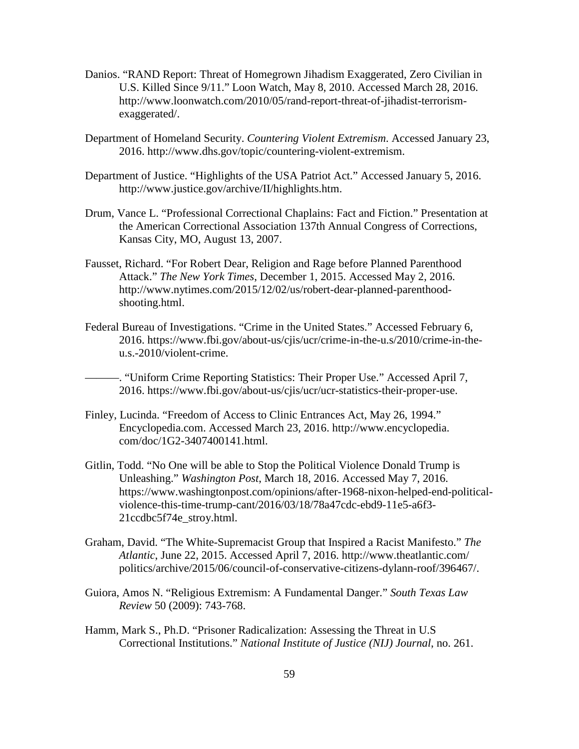- Danios. "RAND Report: Threat of Homegrown Jihadism Exaggerated, Zero Civilian in U.S. Killed Since 9/11." Loon Watch, May 8, 2010. Accessed March 28, 2016. http://www.loonwatch.com/2010/05/rand-report-threat-of-jihadist-terrorismexaggerated/.
- Department of Homeland Security. *Countering Violent Extremism*. Accessed January 23, 2016. http://www.dhs.gov/topic/countering-violent-extremism.
- Department of Justice. "Highlights of the USA Patriot Act." Accessed January 5, 2016. http://www.justice.gov/archive/II/highlights.htm.
- Drum, Vance L. "Professional Correctional Chaplains: Fact and Fiction." Presentation at the American Correctional Association 137th Annual Congress of Corrections, Kansas City, MO, August 13, 2007.
- Fausset, Richard. "For Robert Dear, Religion and Rage before Planned Parenthood Attack." *The New York Times*, December 1, 2015. Accessed May 2, 2016. http://www.nytimes.com/2015/12/02/us/robert-dear-planned-parenthoodshooting.html.
- Federal Bureau of Investigations. "Crime in the United States." Accessed February 6, 2016. https://www.fbi.gov/about-us/cjis/ucr/crime-in-the-u.s/2010/crime-in-theu.s.-2010/violent-crime.

———. "Uniform Crime Reporting Statistics: Their Proper Use." Accessed April 7, 2016. https://www.fbi.gov/about-us/cjis/ucr/ucr-statistics-their-proper-use.

- Finley, Lucinda. "Freedom of Access to Clinic Entrances Act, May 26, 1994." Encyclopedia.com. Accessed March 23, 2016. http://www.encyclopedia. com/doc/1G2-3407400141.html.
- Gitlin, Todd. "No One will be able to Stop the Political Violence Donald Trump is Unleashing." *Washington Post*, March 18, 2016. Accessed May 7, 2016. https://www.washingtonpost.com/opinions/after-1968-nixon-helped-end-politicalviolence-this-time-trump-cant/2016/03/18/78a47cdc-ebd9-11e5-a6f3- 21ccdbc5f74e\_stroy.html.
- Graham, David. "The White-Supremacist Group that Inspired a Racist Manifesto." *The Atlantic*, June 22, 2015. Accessed April 7, 2016. http://www.theatlantic.com/ politics/archive/2015/06/council-of-conservative-citizens-dylann-roof/396467/.
- Guiora, Amos N. "Religious Extremism: A Fundamental Danger." *South Texas Law Review* 50 (2009): 743-768.
- Hamm, Mark S., Ph.D. "Prisoner Radicalization: Assessing the Threat in U.S Correctional Institutions." *National Institute of Justice (NIJ) Journal*, no. 261.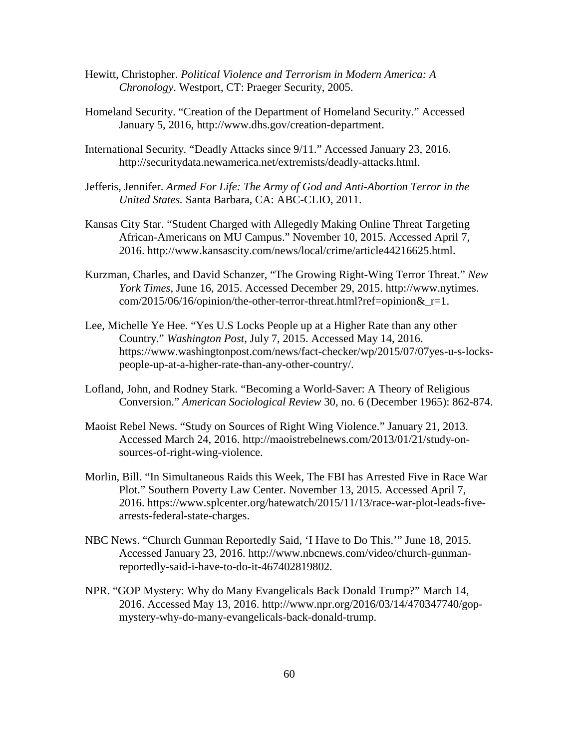- Hewitt, Christopher. *Political Violence and Terrorism in Modern America: A Chronology*. Westport, CT: Praeger Security, 2005.
- Homeland Security. "Creation of the Department of Homeland Security." Accessed January 5, 2016, http://www.dhs.gov/creation-department.
- International Security. "Deadly Attacks since 9/11." Accessed January 23, 2016. http://securitydata.newamerica.net/extremists/deadly-attacks.html.
- Jefferis, Jennifer. *Armed For Life: The Army of God and Anti-Abortion Terror in the United States.* Santa Barbara, CA: ABC-CLIO, 2011.
- Kansas City Star. "Student Charged with Allegedly Making Online Threat Targeting African-Americans on MU Campus." November 10, 2015. Accessed April 7, 2016. http://www.kansascity.com/news/local/crime/article44216625.html.
- Kurzman, Charles, and David Schanzer, "The Growing Right-Wing Terror Threat." *New York Times*, June 16, 2015. Accessed December 29, 2015. http://www.nytimes. com/2015/06/16/opinion/the-other-terror-threat.html?ref=opinion&\_r=1.
- Lee, Michelle Ye Hee. "Yes U.S Locks People up at a Higher Rate than any other Country." *Washington Post*, July 7, 2015. Accessed May 14, 2016. https://www.washingtonpost.com/news/fact-checker/wp/2015/07/07yes-u-s-lockspeople-up-at-a-higher-rate-than-any-other-country/.
- Lofland, John, and Rodney Stark. "Becoming a World-Saver: A Theory of Religious Conversion." *American Sociological Review* 30, no. 6 (December 1965): 862-874.
- Maoist Rebel News. "Study on Sources of Right Wing Violence." January 21, 2013. Accessed March 24, 2016. http://maoistrebelnews.com/2013/01/21/study-onsources-of-right-wing-violence.
- Morlin, Bill. "In Simultaneous Raids this Week, The FBI has Arrested Five in Race War Plot." Southern Poverty Law Center. November 13, 2015. Accessed April 7, 2016. https://www.splcenter.org/hatewatch/2015/11/13/race-war-plot-leads-fivearrests-federal-state-charges.
- NBC News. "Church Gunman Reportedly Said, 'I Have to Do This.'" June 18, 2015. Accessed January 23, 2016. http://www.nbcnews.com/video/church-gunmanreportedly-said-i-have-to-do-it-467402819802.
- NPR. "GOP Mystery: Why do Many Evangelicals Back Donald Trump?" March 14, 2016. Accessed May 13, 2016. http://www.npr.org/2016/03/14/470347740/gopmystery-why-do-many-evangelicals-back-donald-trump.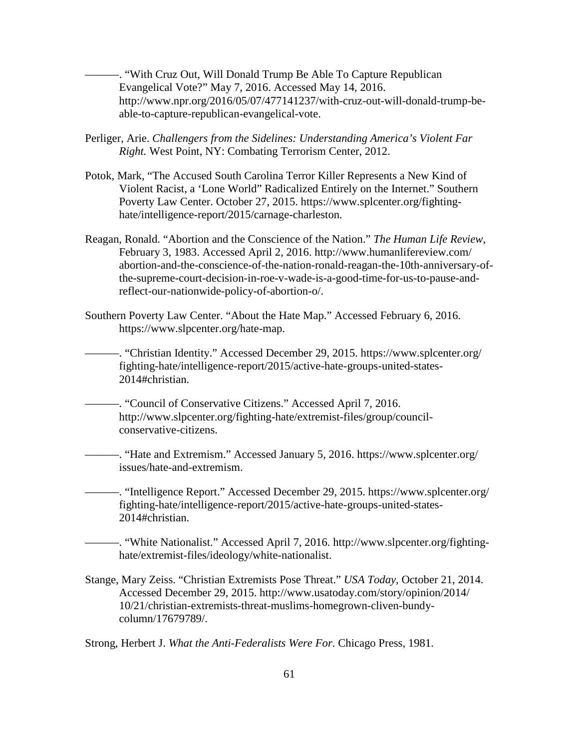———. "With Cruz Out, Will Donald Trump Be Able To Capture Republican Evangelical Vote?" May 7, 2016. Accessed May 14, 2016. http://www.npr.org/2016/05/07/477141237/with-cruz-out-will-donald-trump-beable-to-capture-republican-evangelical-vote.

- Perliger, Arie. *Challengers from the Sidelines: Understanding America's Violent Far Right.* West Point, NY: Combating Terrorism Center, 2012.
- Potok, Mark, "The Accused South Carolina Terror Killer Represents a New Kind of Violent Racist, a 'Lone World" Radicalized Entirely on the Internet." Southern Poverty Law Center. October 27, 2015. https://www.splcenter.org/fightinghate/intelligence-report/2015/carnage-charleston.
- Reagan, Ronald. "Abortion and the Conscience of the Nation." *The Human Life Review*, February 3, 1983. Accessed April 2, 2016. http://www.humanlifereview.com/ abortion-and-the-conscience-of-the-nation-ronald-reagan-the-10th-anniversary-ofthe-supreme-court-decision-in-roe-v-wade-is-a-good-time-for-us-to-pause-andreflect-our-nationwide-policy-of-abortion-o/.
- Southern Poverty Law Center. "About the Hate Map." Accessed February 6, 2016. https://www.slpcenter.org/hate-map.

———. "Christian Identity." Accessed December 29, 2015. https://www.splcenter.org/ fighting-hate/intelligence-report/2015/active-hate-groups-united-states-2014#christian.

———. "Council of Conservative Citizens." Accessed April 7, 2016. http://www.slpcenter.org/fighting-hate/extremist-files/group/councilconservative-citizens.

———. "Hate and Extremism." Accessed January 5, 2016. https://www.splcenter.org/ issues/hate-and-extremism.

———. "Intelligence Report." Accessed December 29, 2015. https://www.splcenter.org/ fighting-hate/intelligence-report/2015/active-hate-groups-united-states-2014#christian.

———. "White Nationalist." Accessed April 7, 2016. http://www.slpcenter.org/fightinghate/extremist-files/ideology/white-nationalist.

Stange, Mary Zeiss. "Christian Extremists Pose Threat." *USA Today*, October 21, 2014. Accessed December 29, 2015. http://www.usatoday.com/story/opinion/2014/ 10/21/christian-extremists-threat-muslims-homegrown-cliven-bundycolumn/17679789/.

Strong, Herbert J. *What the Anti-Federalists Were For*. Chicago Press, 1981.